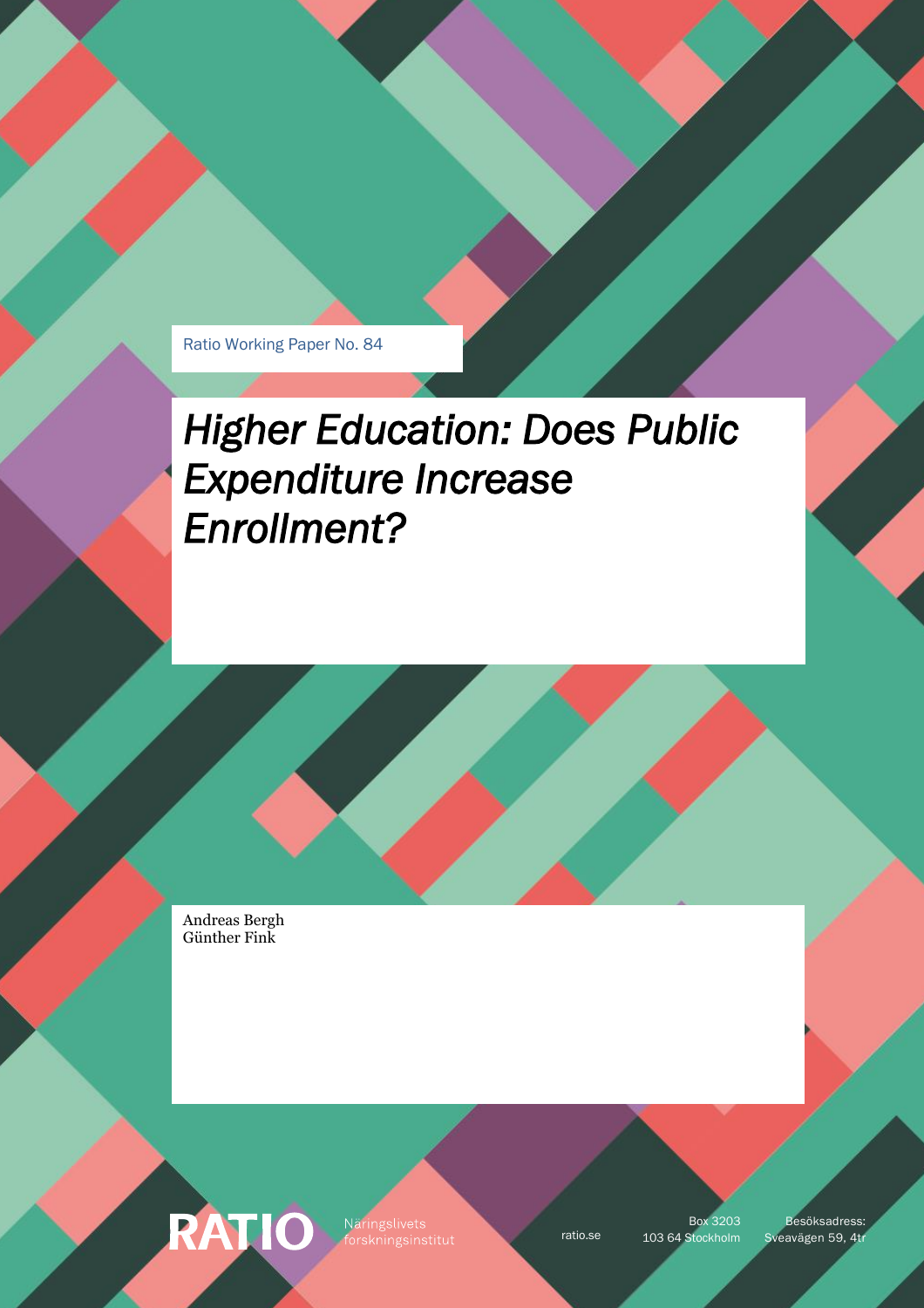Ratio Working Paper No. 84

# *Higher Education: Does Public Expenditure Increase Enrollment?*

Andreas Bergh Günther Fink

**RATIO** 

Näringslivets

Box 3203

ratio.se 103 64 Stockholm Sveavägen 59, 4tr Besöksadress: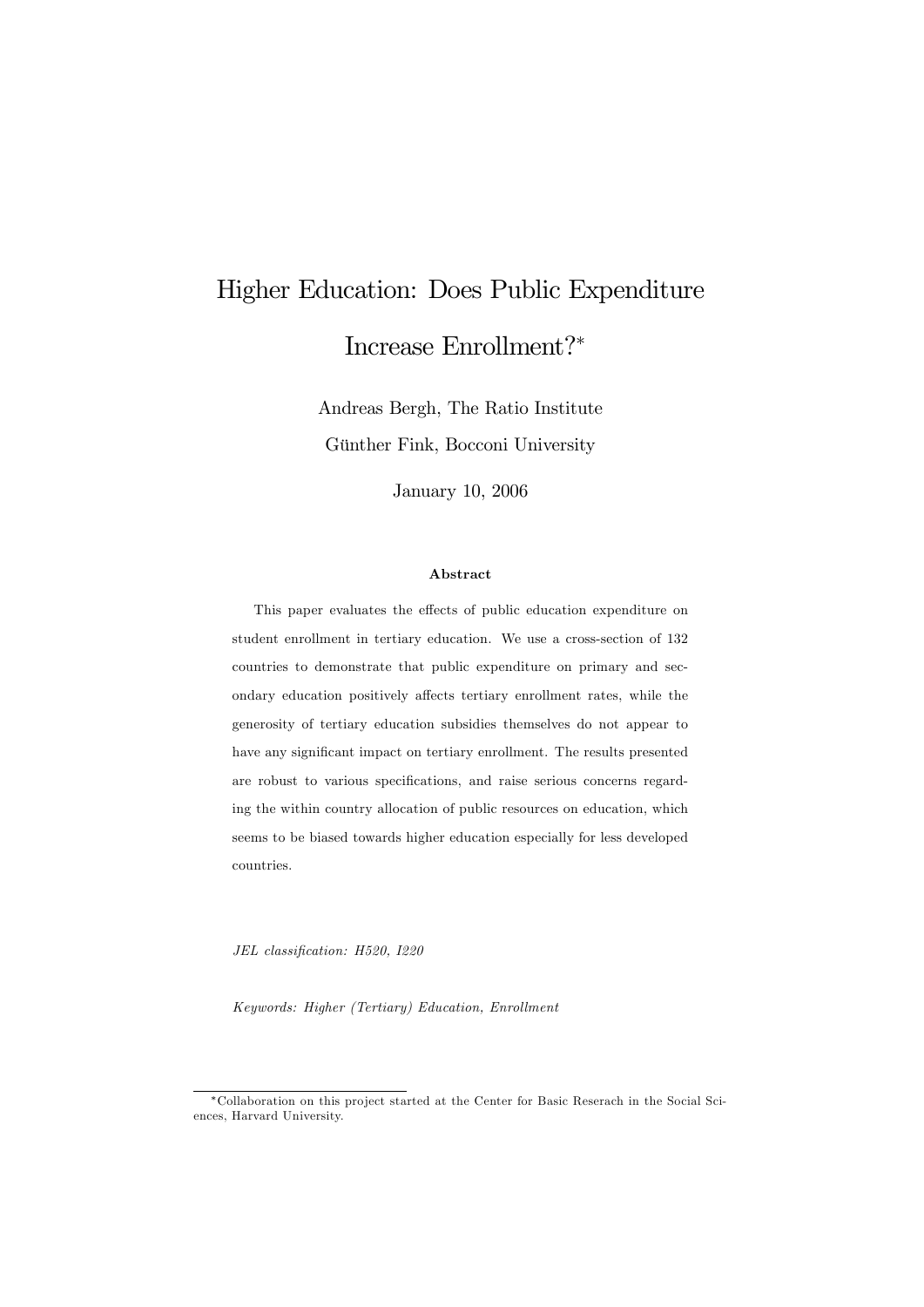## Higher Education: Does Public Expenditure Increase Enrollment?

Andreas Bergh, The Ratio Institute Günther Fink, Bocconi University

January 10, 2006

#### Abstract

This paper evaluates the effects of public education expenditure on student enrollment in tertiary education. We use a cross-section of 132 countries to demonstrate that public expenditure on primary and secondary education positively affects tertiary enrollment rates, while the generosity of tertiary education subsidies themselves do not appear to have any significant impact on tertiary enrollment. The results presented are robust to various specifications, and raise serious concerns regarding the within country allocation of public resources on education, which seems to be biased towards higher education especially for less developed countries.

JEL classification: H520, I220

Keywords: Higher (Tertiary) Education, Enrollment

Collaboration on this pro ject started at the Center for Basic Reserach in the Social Sciences, Harvard University.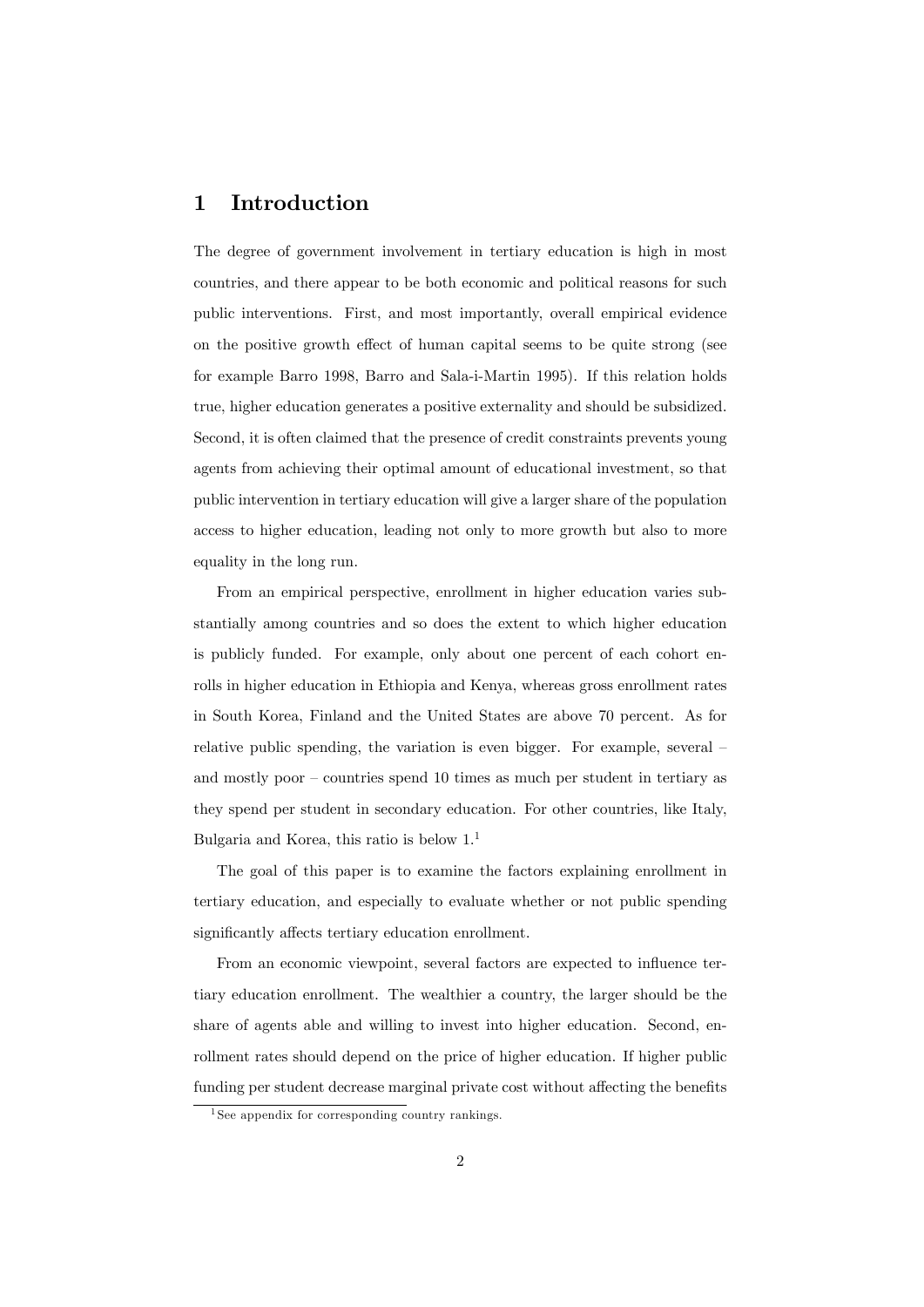## 1 Introduction

The degree of government involvement in tertiary education is high in most countries, and there appear to be both economic and political reasons for such public interventions. First, and most importantly, overall empirical evidence on the positive growth effect of human capital seems to be quite strong (see for example Barro 1998, Barro and Sala-i-Martin 1995). If this relation holds true, higher education generates a positive externality and should be subsidized. Second, it is often claimed that the presence of credit constraints prevents young agents from achieving their optimal amount of educational investment, so that public intervention in tertiary education will give a larger share of the population access to higher education, leading not only to more growth but also to more equality in the long run.

From an empirical perspective, enrollment in higher education varies substantially among countries and so does the extent to which higher education is publicly funded. For example, only about one percent of each cohort enrolls in higher education in Ethiopia and Kenya, whereas gross enrollment rates in South Korea, Finland and the United States are above 70 percent. As for relative public spending, the variation is even bigger. For example, several – and mostly poor  $\overline{\phantom{a}}$  countries spend 10 times as much per student in tertiary as they spend per student in secondary education. For other countries, like Italy, Bulgaria and Korea, this ratio is below  $1<sup>1</sup>$ 

The goal of this paper is to examine the factors explaining enrollment in tertiary education, and especially to evaluate whether or not public spending significantly affects tertiary education enrollment.

From an economic viewpoint, several factors are expected to influence tertiary education enrollment. The wealthier a country, the larger should be the share of agents able and willing to invest into higher education. Second, enrollment rates should depend on the price of higher education. If higher public funding per student decrease marginal private cost without affecting the benefits

<sup>&</sup>lt;sup>1</sup> See appendix for corresponding country rankings.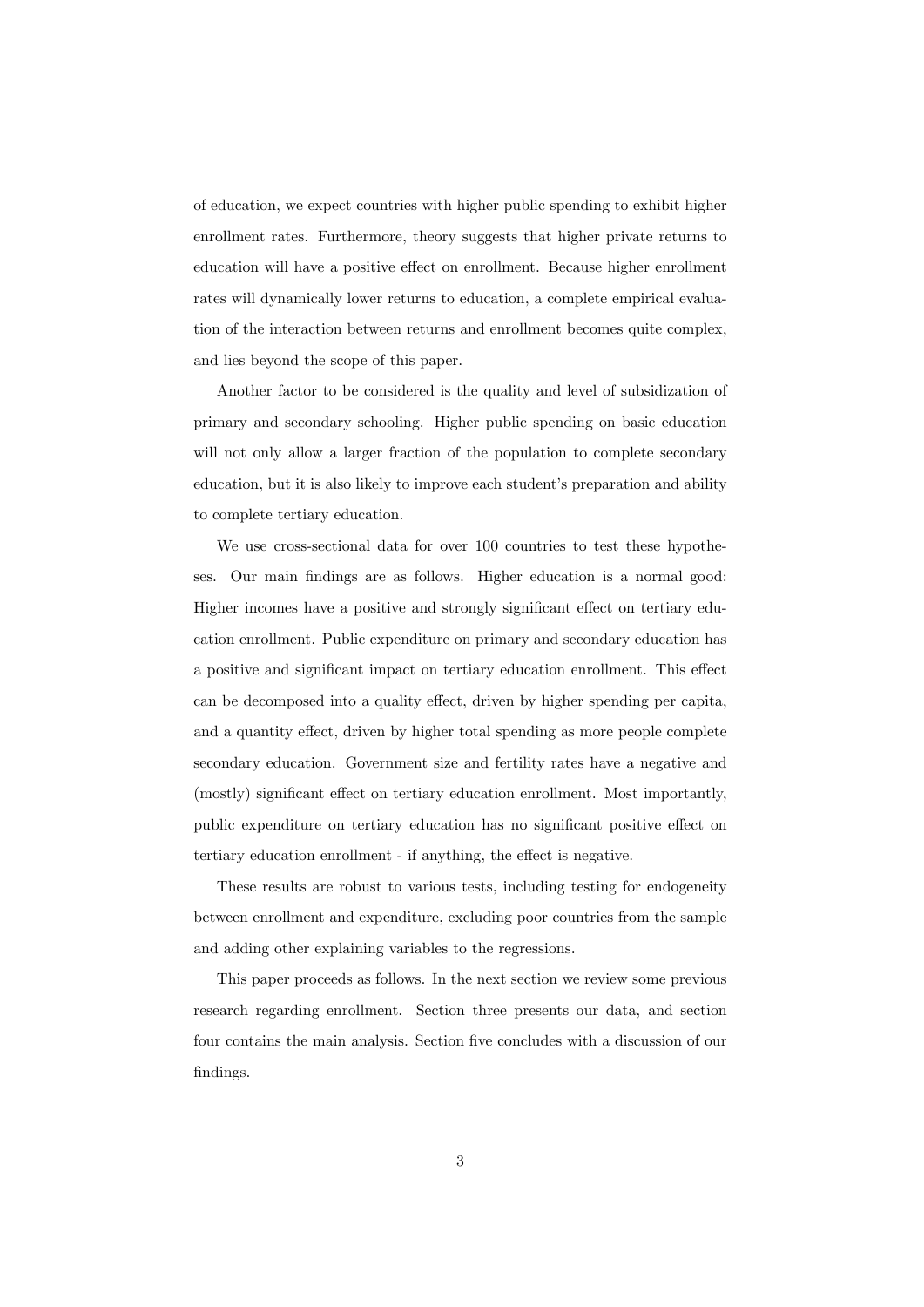of education, we expect countries with higher public spending to exhibit higher enrollment rates. Furthermore, theory suggests that higher private returns to education will have a positive effect on enrollment. Because higher enrollment rates will dynamically lower returns to education, a complete empirical evaluation of the interaction between returns and enrollment becomes quite complex, and lies beyond the scope of this paper.

Another factor to be considered is the quality and level of subsidization of primary and secondary schooling. Higher public spending on basic education will not only allow a larger fraction of the population to complete secondary education, but it is also likely to improve each student's preparation and ability to complete tertiary education.

We use cross-sectional data for over 100 countries to test these hypotheses. Our main findings are as follows. Higher education is a normal good: Higher incomes have a positive and strongly significant effect on tertiary education enrollment. Public expenditure on primary and secondary education has a positive and significant impact on tertiary education enrollment. This effect can be decomposed into a quality effect, driven by higher spending per capita, and a quantity effect, driven by higher total spending as more people complete secondary education. Government size and fertility rates have a negative and (mostly) significant effect on tertiary education enrollment. Most importantly, public expenditure on tertiary education has no significant positive effect on tertiary education enrollment - if anything, the effect is negative.

These results are robust to various tests, including testing for endogeneity between enrollment and expenditure, excluding poor countries from the sample and adding other explaining variables to the regressions.

This paper proceeds as follows. In the next section we review some previous research regarding enrollment. Section three presents our data, and section four contains the main analysis. Section five concludes with a discussion of our findings.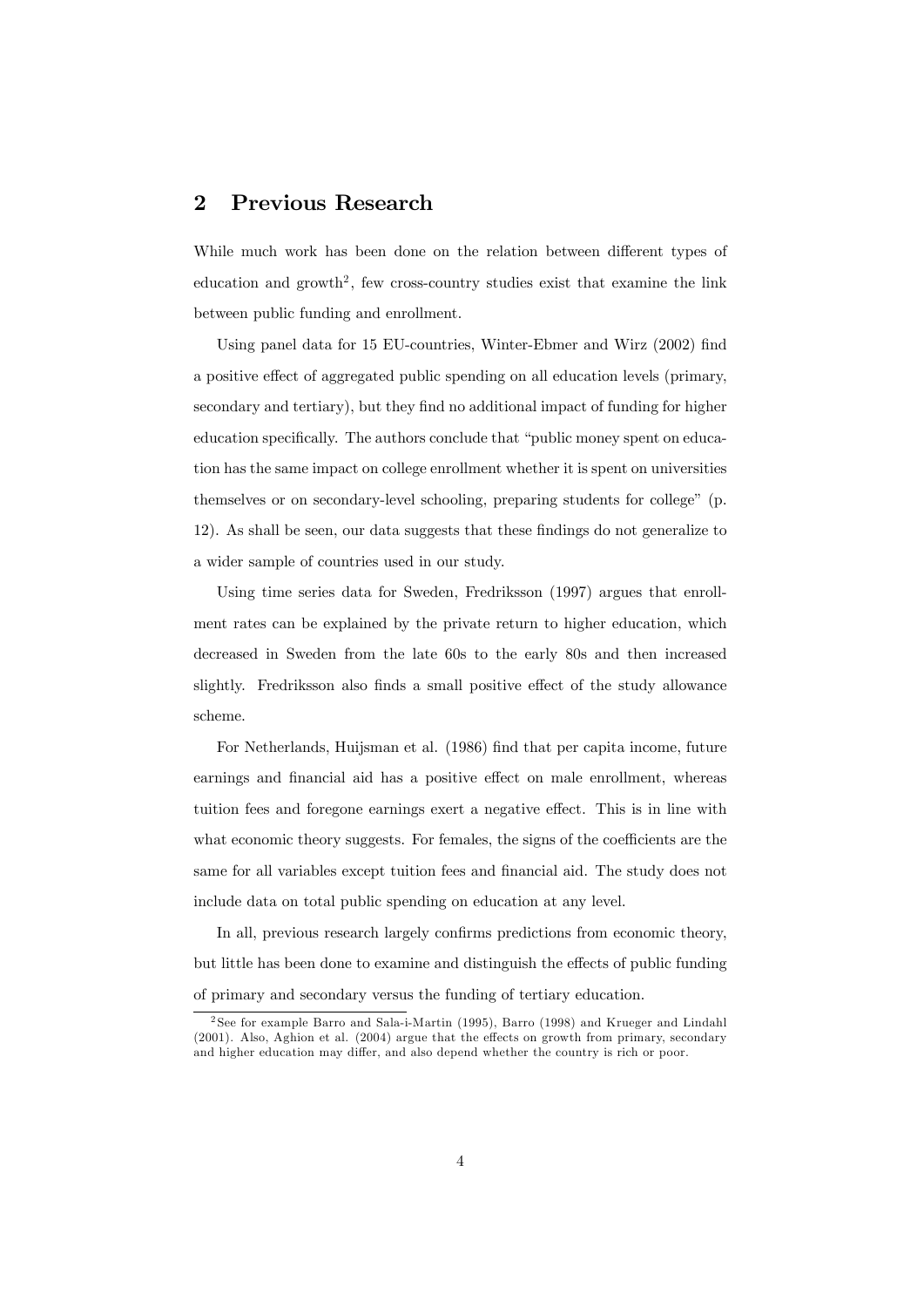## 2 Previous Research

While much work has been done on the relation between different types of education and growth<sup>2</sup>, few cross-country studies exist that examine the link between public funding and enrollment.

Using panel data for 15 EU-countries, Winter-Ebmer and Wirz (2002) find a positive effect of aggregated public spending on all education levels (primary, secondary and tertiary), but they find no additional impact of funding for higher education specifically. The authors conclude that "public money spent on education has the same impact on college enrollment whether it is spent on universities themselves or on secondary-level schooling, preparing students for college" (p. 12). As shall be seen, our data suggests that these Öndings do not generalize to a wider sample of countries used in our study.

Using time series data for Sweden, Fredriksson (1997) argues that enrollment rates can be explained by the private return to higher education, which decreased in Sweden from the late 60s to the early 80s and then increased slightly. Fredriksson also finds a small positive effect of the study allowance scheme.

For Netherlands, Huijsman et al. (1986) find that per capita income, future earnings and financial aid has a positive effect on male enrollment, whereas tuition fees and foregone earnings exert a negative effect. This is in line with what economic theory suggests. For females, the signs of the coefficients are the same for all variables except tuition fees and financial aid. The study does not include data on total public spending on education at any level.

In all, previous research largely confirms predictions from economic theory, but little has been done to examine and distinguish the effects of public funding of primary and secondary versus the funding of tertiary education.

<sup>2</sup> See for example Barro and Sala-i-Martin (1995), Barro (1998) and Krueger and Lindahl  $(2001)$ . Also, Aghion et al.  $(2004)$  argue that the effects on growth from primary, secondary and higher education may differ, and also depend whether the country is rich or poor.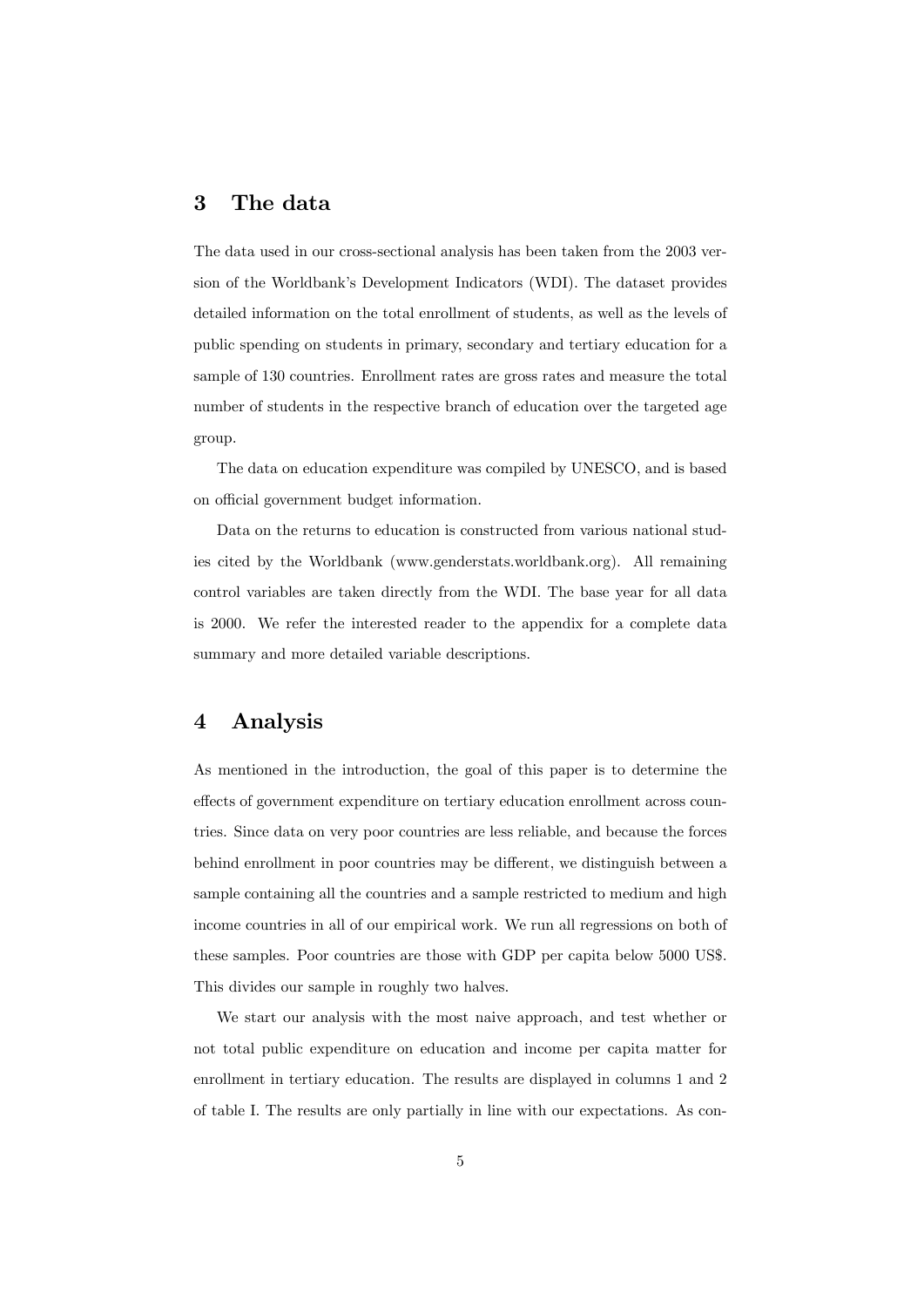## 3 The data

The data used in our cross-sectional analysis has been taken from the 2003 version of the Worldbank's Development Indicators (WDI). The dataset provides detailed information on the total enrollment of students, as well as the levels of public spending on students in primary, secondary and tertiary education for a sample of 130 countries. Enrollment rates are gross rates and measure the total number of students in the respective branch of education over the targeted age group.

The data on education expenditure was compiled by UNESCO, and is based on official government budget information.

Data on the returns to education is constructed from various national studies cited by the Worldbank (www.genderstats.worldbank.org). All remaining control variables are taken directly from the WDI. The base year for all data is 2000. We refer the interested reader to the appendix for a complete data summary and more detailed variable descriptions.

#### 4 Analysis

As mentioned in the introduction, the goal of this paper is to determine the effects of government expenditure on tertiary education enrollment across countries. Since data on very poor countries are less reliable, and because the forces behind enrollment in poor countries may be different, we distinguish between a sample containing all the countries and a sample restricted to medium and high income countries in all of our empirical work. We run all regressions on both of these samples. Poor countries are those with GDP per capita below 5000 US\$. This divides our sample in roughly two halves.

We start our analysis with the most naive approach, and test whether or not total public expenditure on education and income per capita matter for enrollment in tertiary education. The results are displayed in columns 1 and 2 of table I. The results are only partially in line with our expectations. As con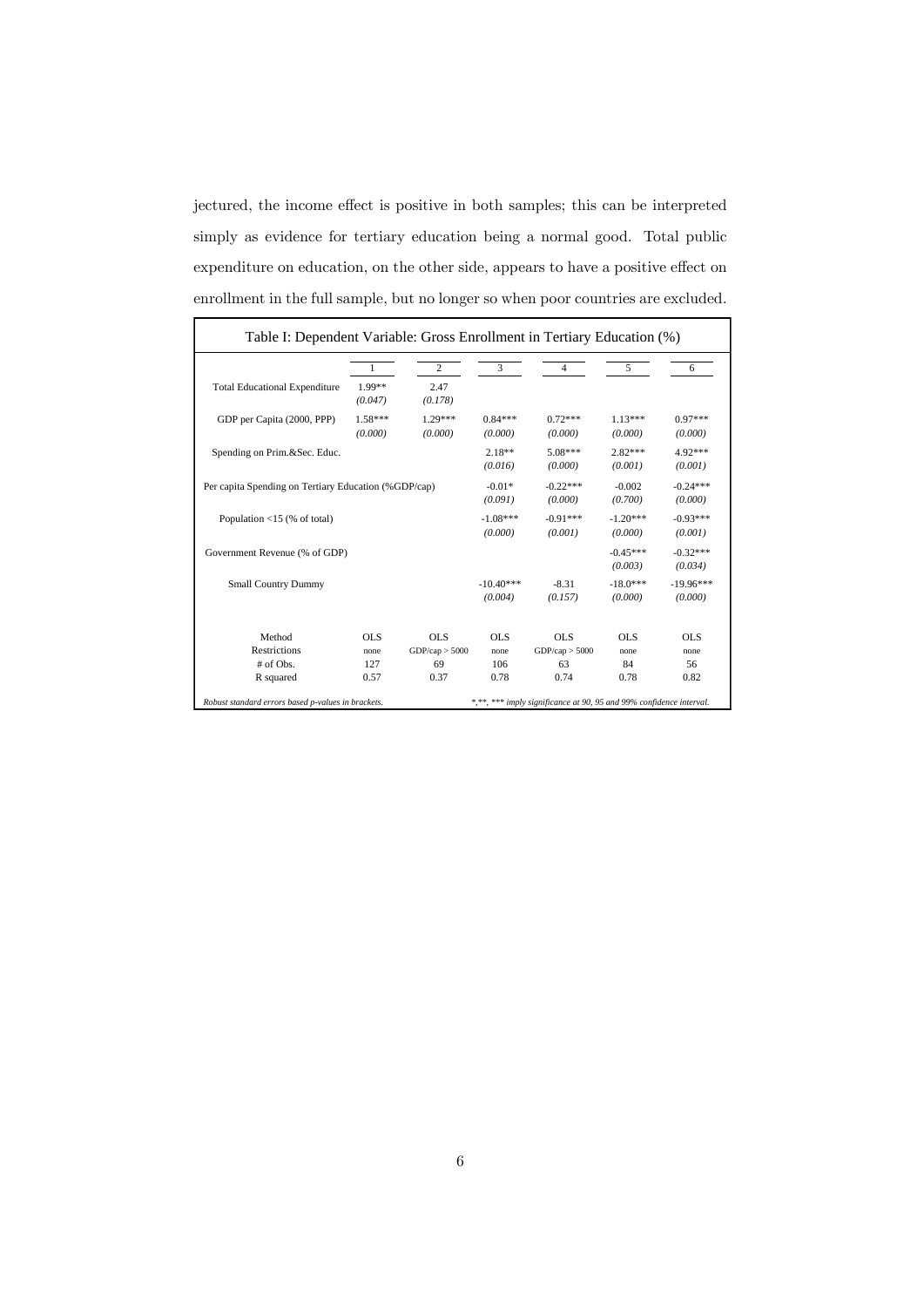jectured, the income effect is positive in both samples; this can be interpreted simply as evidence for tertiary education being a normal good. Total public expenditure on education, on the other side, appears to have a positive effect on enrollment in the full sample, but no longer so when poor countries are excluded.

| Table I: Dependent Variable: Gross Enrollment in Tertiary Education (%) |                      |                       |                        |                                                                     |                       |                        |  |
|-------------------------------------------------------------------------|----------------------|-----------------------|------------------------|---------------------------------------------------------------------|-----------------------|------------------------|--|
|                                                                         |                      | $\overline{c}$        | 3                      | 4                                                                   | 5                     | 6                      |  |
| <b>Total Educational Expenditure</b>                                    | 1.99**<br>(0.047)    | 2.47<br>(0.178)       |                        |                                                                     |                       |                        |  |
| GDP per Capita (2000, PPP)                                              | $1.58***$<br>(0.000) | 1.29***<br>(0,000)    | $0.84***$<br>(0,000)   | $0.72***$<br>(0,000)                                                | $1.13***$<br>(0,000)  | $0.97***$<br>(0,000)   |  |
| Spending on Prim.&Sec. Educ.                                            |                      |                       | $2.18**$<br>(0.016)    | 5.08***<br>(0,000)                                                  | $2.82***$<br>(0.001)  | 4.92***<br>(0.001)     |  |
| Per capita Spending on Tertiary Education (%GDP/cap)                    | $-0.01*$<br>(0.091)  | $-0.22***$<br>(0,000) | $-0.002$<br>(0,700)    | $-0.24***$<br>(0,000)                                               |                       |                        |  |
| Population $\langle 15 \rangle$ (% of total)                            |                      |                       | $-1.08***$<br>(0.000)  | $-0.91***$<br>(0.001)                                               | $-1.20***$<br>(0.000) | $-0.93***$<br>(0.001)  |  |
| Government Revenue (% of GDP)                                           |                      |                       |                        |                                                                     | $-0.45***$<br>(0.003) | $-0.32***$<br>(0.034)  |  |
| <b>Small Country Dummy</b>                                              |                      |                       | $-10.40***$<br>(0.004) | $-8.31$<br>(0.157)                                                  | $-18.0***$<br>(0,000) | $-19.96***$<br>(0,000) |  |
| Method                                                                  | OLS.                 | OLS.                  | OLS                    | OLS                                                                 | OLS                   | OLS                    |  |
| <b>Restrictions</b>                                                     | none                 | GDP/cap > 5000        | none                   | GDP/cap > 5000                                                      | none                  | none                   |  |
| # of Obs.                                                               | 127                  | 69                    | 106                    | 63                                                                  | 84                    | 56                     |  |
| R squared                                                               | 0.57                 | 0.37                  | 0.78                   | 0.74                                                                | 0.78                  | 0.82                   |  |
| Robust standard errors based p-values in brackets.                      |                      |                       |                        | *,**, *** imply significance at 90, 95 and 99% confidence interval. |                       |                        |  |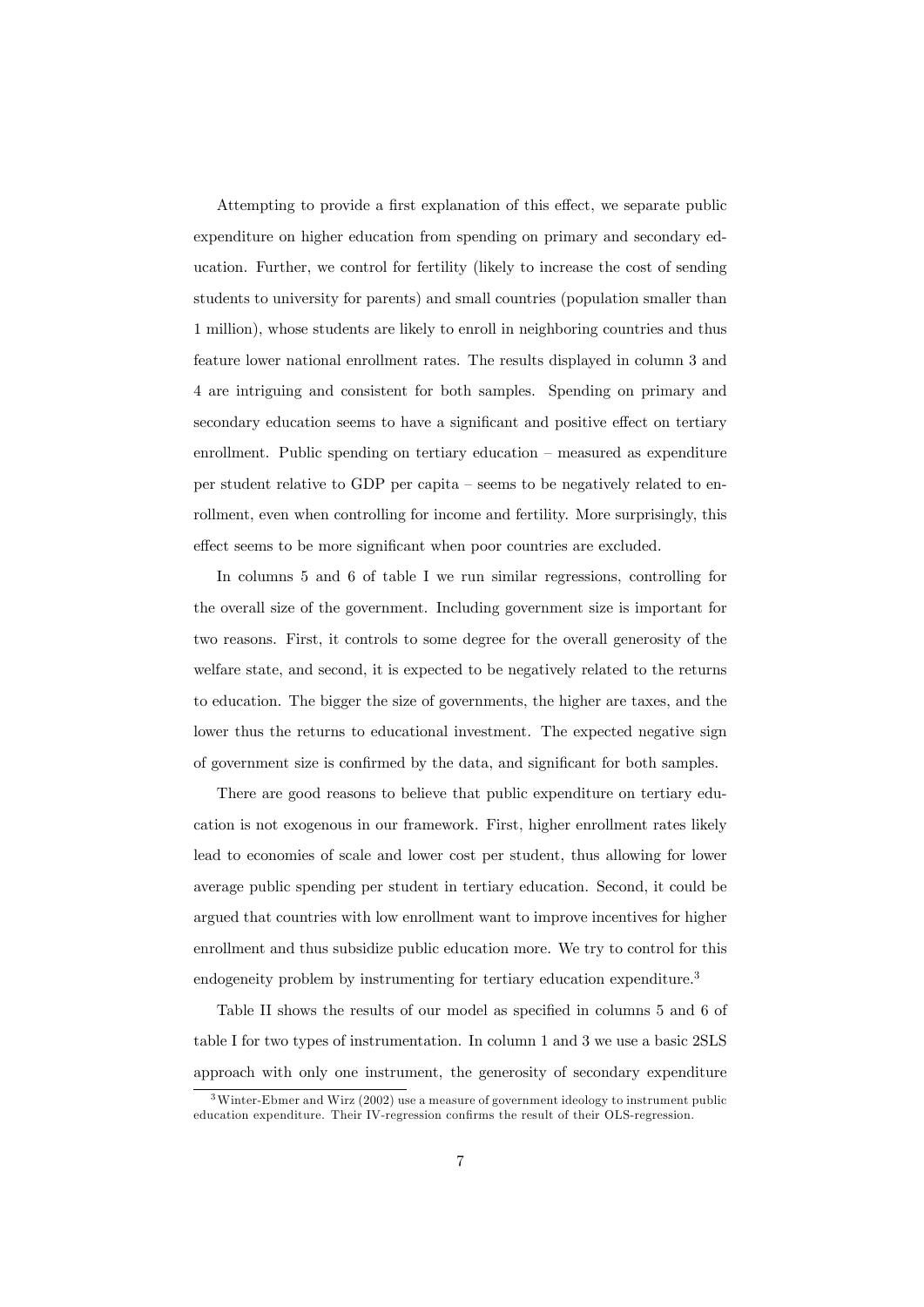Attempting to provide a first explanation of this effect, we separate public expenditure on higher education from spending on primary and secondary education. Further, we control for fertility (likely to increase the cost of sending students to university for parents) and small countries (population smaller than 1 million), whose students are likely to enroll in neighboring countries and thus feature lower national enrollment rates. The results displayed in column 3 and 4 are intriguing and consistent for both samples. Spending on primary and secondary education seems to have a significant and positive effect on tertiary enrollment. Public spending on tertiary education  $\overline{\phantom{a}}$  measured as expenditure per student relative to GDP per capita  $\sim$  seems to be negatively related to enrollment, even when controlling for income and fertility. More surprisingly, this effect seems to be more significant when poor countries are excluded.

In columns 5 and 6 of table I we run similar regressions, controlling for the overall size of the government. Including government size is important for two reasons. First, it controls to some degree for the overall generosity of the welfare state, and second, it is expected to be negatively related to the returns to education. The bigger the size of governments, the higher are taxes, and the lower thus the returns to educational investment. The expected negative sign of government size is confirmed by the data, and significant for both samples.

There are good reasons to believe that public expenditure on tertiary education is not exogenous in our framework. First, higher enrollment rates likely lead to economies of scale and lower cost per student, thus allowing for lower average public spending per student in tertiary education. Second, it could be argued that countries with low enrollment want to improve incentives for higher enrollment and thus subsidize public education more. We try to control for this endogeneity problem by instrumenting for tertiary education expenditure.<sup>3</sup>

Table II shows the results of our model as specified in columns 5 and 6 of table I for two types of instrumentation. In column 1 and 3 we use a basic 2SLS approach with only one instrument, the generosity of secondary expenditure

 $3$ Winter-Ebmer and Wirz (2002) use a measure of government ideology to instrument public education expenditure. Their IV-regression confirms the result of their OLS-regression.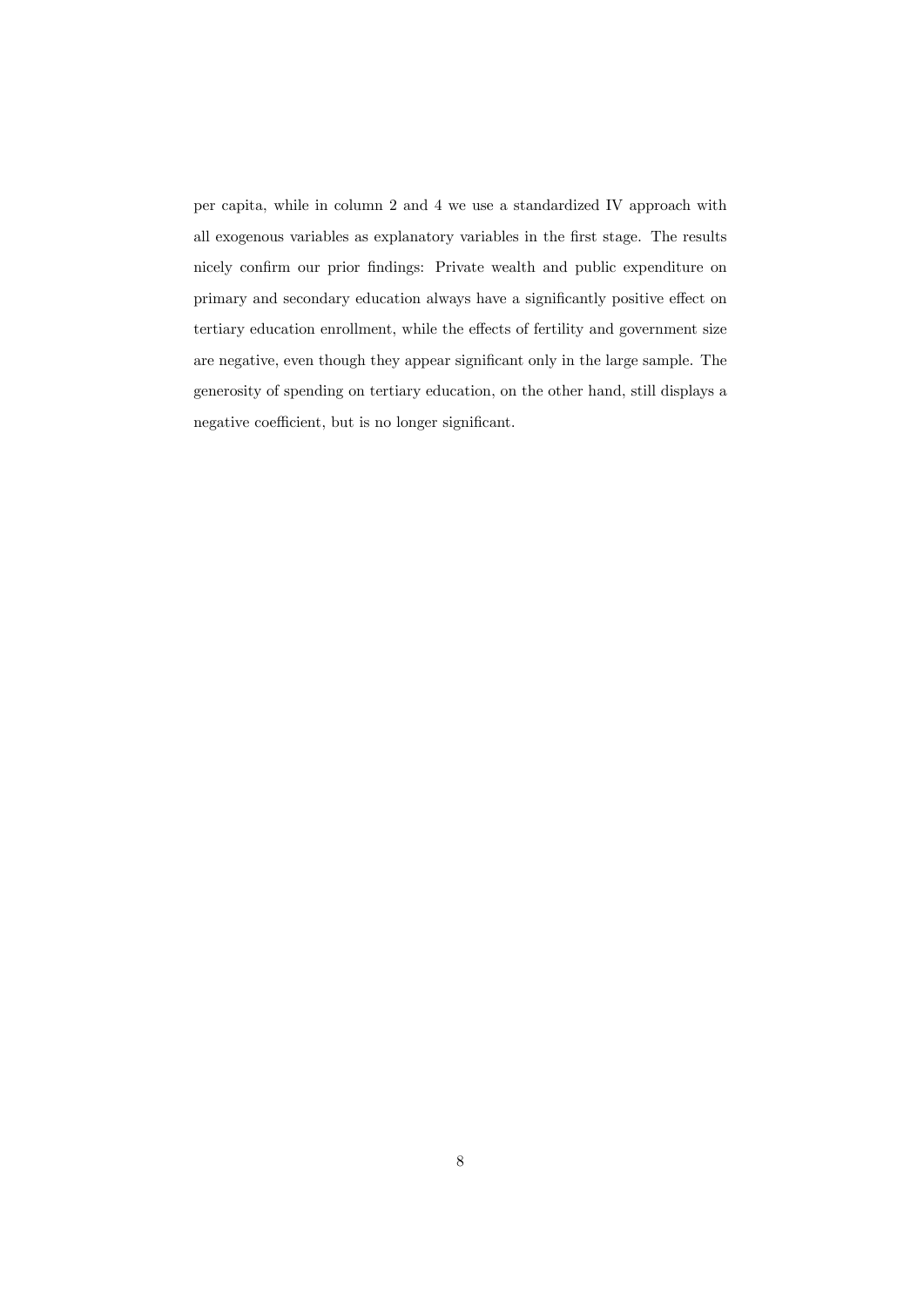per capita, while in column 2 and 4 we use a standardized IV approach with all exogenous variables as explanatory variables in the Örst stage. The results nicely confirm our prior findings: Private wealth and public expenditure on primary and secondary education always have a significantly positive effect on tertiary education enrollment, while the effects of fertility and government size are negative, even though they appear significant only in the large sample. The generosity of spending on tertiary education, on the other hand, still displays a negative coefficient, but is no longer significant.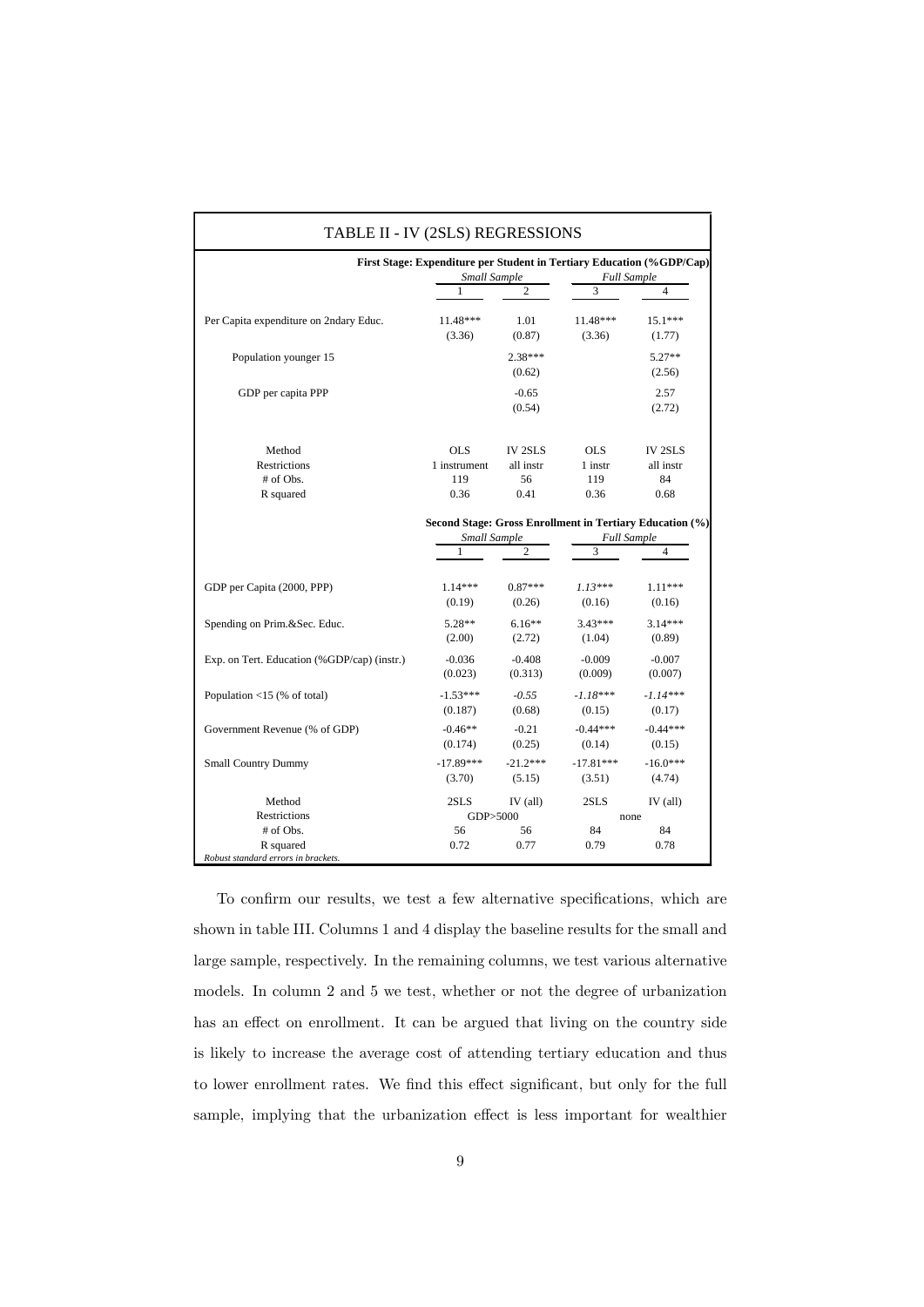| First Stage: Expenditure per Student in Tertiary Education (%GDP/Cap)<br>Small Sample<br><b>Full Sample</b> |                   |                     |                         |                                                               |  |  |
|-------------------------------------------------------------------------------------------------------------|-------------------|---------------------|-------------------------|---------------------------------------------------------------|--|--|
|                                                                                                             | 1                 | $\overline{c}$      | 3                       | 4                                                             |  |  |
| Per Capita expenditure on 2ndary Educ.                                                                      | 11.48***          | 1.01                | 11.48***                | $15.1***$                                                     |  |  |
|                                                                                                             | (3.36)            | (0.87)              | (3.36)                  | (1.77)                                                        |  |  |
| Population younger 15                                                                                       |                   | $2.38***$<br>(0.62) |                         | $5.27**$<br>(2.56)                                            |  |  |
| GDP per capita PPP                                                                                          |                   | $-0.65$<br>(0.54)   |                         | 2.57<br>(2.72)                                                |  |  |
| Method                                                                                                      | <b>OLS</b>        | <b>IV 2SLS</b>      | <b>OLS</b>              | <b>IV 2SLS</b>                                                |  |  |
| Restrictions                                                                                                | 1 instrument      | all instr           | 1 instr                 | all instr                                                     |  |  |
| # of Obs.                                                                                                   | 119               | 56                  | 119                     | 84                                                            |  |  |
| R squared                                                                                                   | 0.36              | 0.41                | 0.36                    | 0.68                                                          |  |  |
|                                                                                                             | Small Sample<br>1 | $\overline{c}$      | <b>Full Sample</b><br>3 | Second Stage: Gross Enrollment in Tertiary Education (%)<br>4 |  |  |
| GDP per Capita (2000, PPP)                                                                                  | $1.14***$         | $0.87***$           | $1.13***$               | $1.11***$                                                     |  |  |
|                                                                                                             | (0.19)            | (0.26)              | (0.16)                  | (0.16)                                                        |  |  |
| Spending on Prim.&Sec. Educ.                                                                                | $5.28**$          | $6.16**$            | $3.43***$               | $3.14***$                                                     |  |  |
|                                                                                                             | (2.00)            | (2.72)              | (1.04)                  | (0.89)                                                        |  |  |
| Exp. on Tert. Education (%GDP/cap) (instr.)                                                                 | $-0.036$          | $-0.408$            | $-0.009$                | $-0.007$                                                      |  |  |
|                                                                                                             | (0.023)           | (0.313)             | (0.009)                 | (0.007)                                                       |  |  |
| Population $<$ 15 (% of total)                                                                              | $-1.53***$        | $-0.55$             | $-1.18***$              | $-1.14***$                                                    |  |  |
|                                                                                                             | (0.187)           | (0.68)              | (0.15)                  | (0.17)                                                        |  |  |
| Government Revenue (% of GDP)                                                                               | $-0.46**$         | $-0.21$             | $-0.44***$              | $-0.44***$                                                    |  |  |
|                                                                                                             | (0.174)           | (0.25)              | (0.14)                  | (0.15)                                                        |  |  |
| <b>Small Country Dummy</b>                                                                                  | $-17.89***$       | $-21.2***$          | $-17.81***$             | $-16.0***$                                                    |  |  |
|                                                                                                             | (3.70)            | (5.15)              | (3.51)                  | (4.74)                                                        |  |  |
| Method                                                                                                      | 2SLS              | $IV$ (all)          | 2SLS                    | $IV$ (all)                                                    |  |  |
| <b>Restrictions</b>                                                                                         | GDP>5000          |                     | none                    |                                                               |  |  |
| # of Obs.<br>R squared<br>Robust standard errors in brackets.                                               | 56<br>0.72        | 56<br>0.77          | 84<br>0.79              | 84<br>0.78                                                    |  |  |

To confirm our results, we test a few alternative specifications, which are shown in table III. Columns 1 and 4 display the baseline results for the small and large sample, respectively. In the remaining columns, we test various alternative models. In column 2 and 5 we test, whether or not the degree of urbanization has an effect on enrollment. It can be argued that living on the country side is likely to increase the average cost of attending tertiary education and thus to lower enrollment rates. We find this effect significant, but only for the full sample, implying that the urbanization effect is less important for wealthier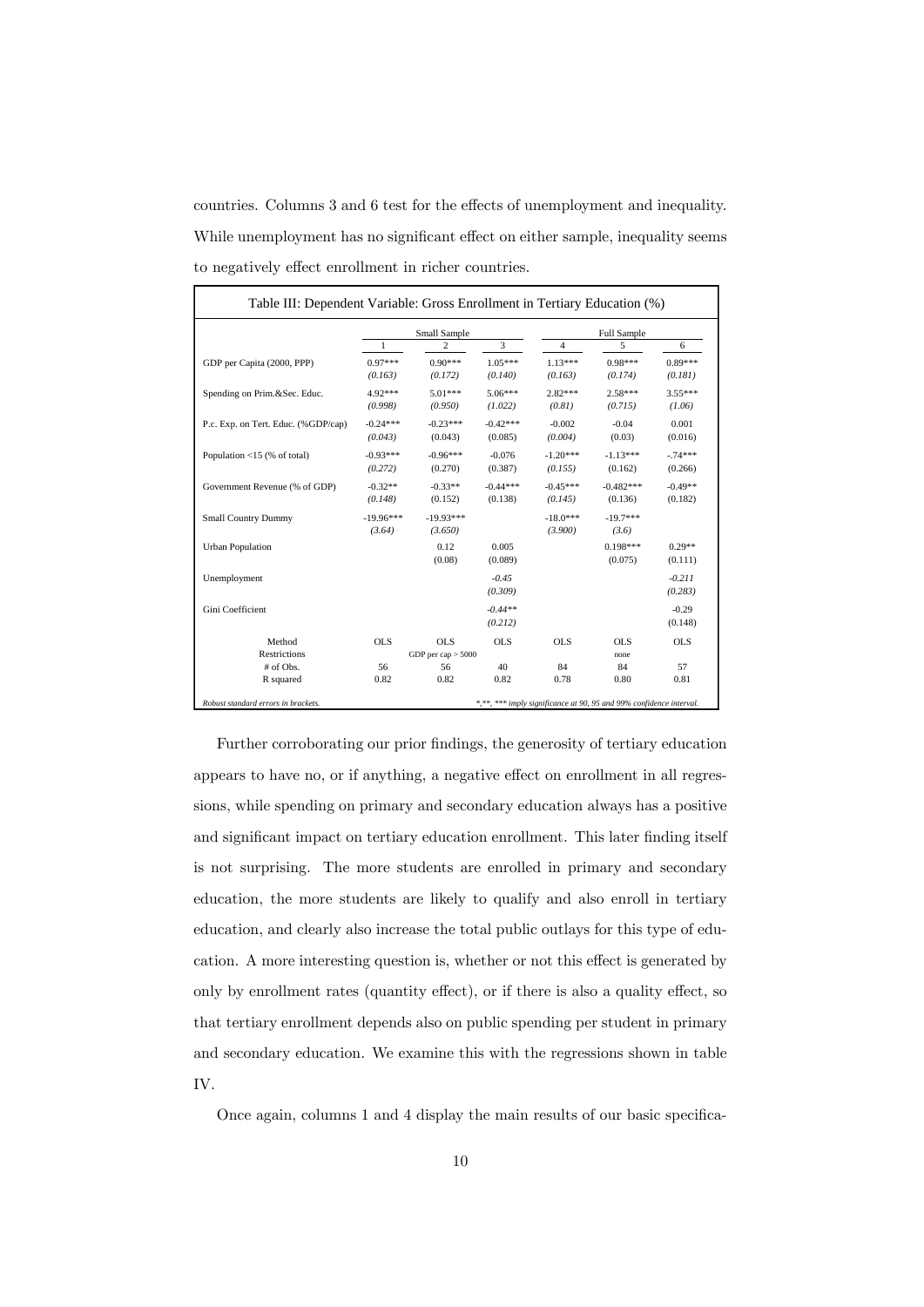countries. Columns  $3$  and  $6$  test for the effects of unemployment and inequality. While unemployment has no significant effect on either sample, inequality seems to negatively effect enrollment in richer countries.

|                                     | Small Sample |                      |            | Full Sample |             |            |
|-------------------------------------|--------------|----------------------|------------|-------------|-------------|------------|
|                                     | 1            | 2                    | 3          | 4           | 5           | 6          |
| GDP per Capita (2000, PPP)          | $0.97***$    | $0.90***$            | $1.05***$  | $1.13***$   | $0.98***$   | $0.89***$  |
|                                     | (0.163)      | (0.172)              | (0.140)    | (0.163)     | (0.174)     | (0.181)    |
| Spending on Prim.&Sec. Educ.        | 4.92***      | $5.01***$            | $5.06***$  | $2.82***$   | $2.58***$   | $3.55***$  |
|                                     | (0.998)      | (0.950)              | (1.022)    | (0.81)      | (0.715)     | (1.06)     |
| P.c. Exp. on Tert. Educ. (%GDP/cap) | $-0.24***$   | $-0.23***$           | $-0.42***$ | $-0.002$    | $-0.04$     | 0.001      |
|                                     | (0.043)      | (0.043)              | (0.085)    | (0.004)     | (0.03)      | (0.016)    |
| Population <15 (% of total)         | $-0.93***$   | $-0.96***$           | $-0.076$   | $-1.20***$  | $-1.13***$  | $-74***$   |
|                                     | (0.272)      | (0.270)              | (0.387)    | (0.155)     | (0.162)     | (0.266)    |
| Government Revenue (% of GDP)       | $-0.32**$    | $-0.33**$            | $-0.44***$ | $-0.45***$  | $-0.482***$ | $-0.49**$  |
|                                     | (0.148)      | (0.152)              | (0.138)    | (0.145)     | (0.136)     | (0.182)    |
| <b>Small Country Dummy</b>          | $-19.96***$  | $-19.93***$          |            | $-18.0***$  | $-19.7***$  |            |
|                                     | (3.64)       | (3.650)              |            | (3.900)     | (3.6)       |            |
| <b>Urban Population</b>             |              | 0.12                 | 0.005      |             | $0.198***$  | $0.29**$   |
|                                     |              | (0.08)               | (0.089)    |             | (0.075)     | (0.111)    |
| Unemployment                        |              |                      | $-0.45$    |             |             | $-0.211$   |
|                                     |              |                      | (0.309)    |             |             | (0.283)    |
| Gini Coefficient                    |              |                      | $-0.44**$  |             |             | $-0.29$    |
|                                     |              |                      | (0.212)    |             |             | (0.148)    |
| Method                              | <b>OLS</b>   | OLS                  | <b>OLS</b> | <b>OLS</b>  | OLS         | <b>OLS</b> |
| Restrictions                        |              | GDP per cap $> 5000$ |            |             | none        |            |
| # of Obs.                           | 56           | 56                   | 40         | 84          | 84          | 57         |
| R squared                           | 0.82         | 0.82                 | 0.82       | 0.78        | 0.80        | 0.81       |

Further corroborating our prior findings, the generosity of tertiary education appears to have no, or if anything, a negative effect on enrollment in all regressions, while spending on primary and secondary education always has a positive and significant impact on tertiary education enrollment. This later finding itself is not surprising. The more students are enrolled in primary and secondary education, the more students are likely to qualify and also enroll in tertiary education, and clearly also increase the total public outlays for this type of education. A more interesting question is, whether or not this effect is generated by only by enrollment rates (quantity effect), or if there is also a quality effect, so that tertiary enrollment depends also on public spending per student in primary and secondary education. We examine this with the regressions shown in table IV.

Once again, columns  $1$  and  $4$  display the main results of our basic specifica-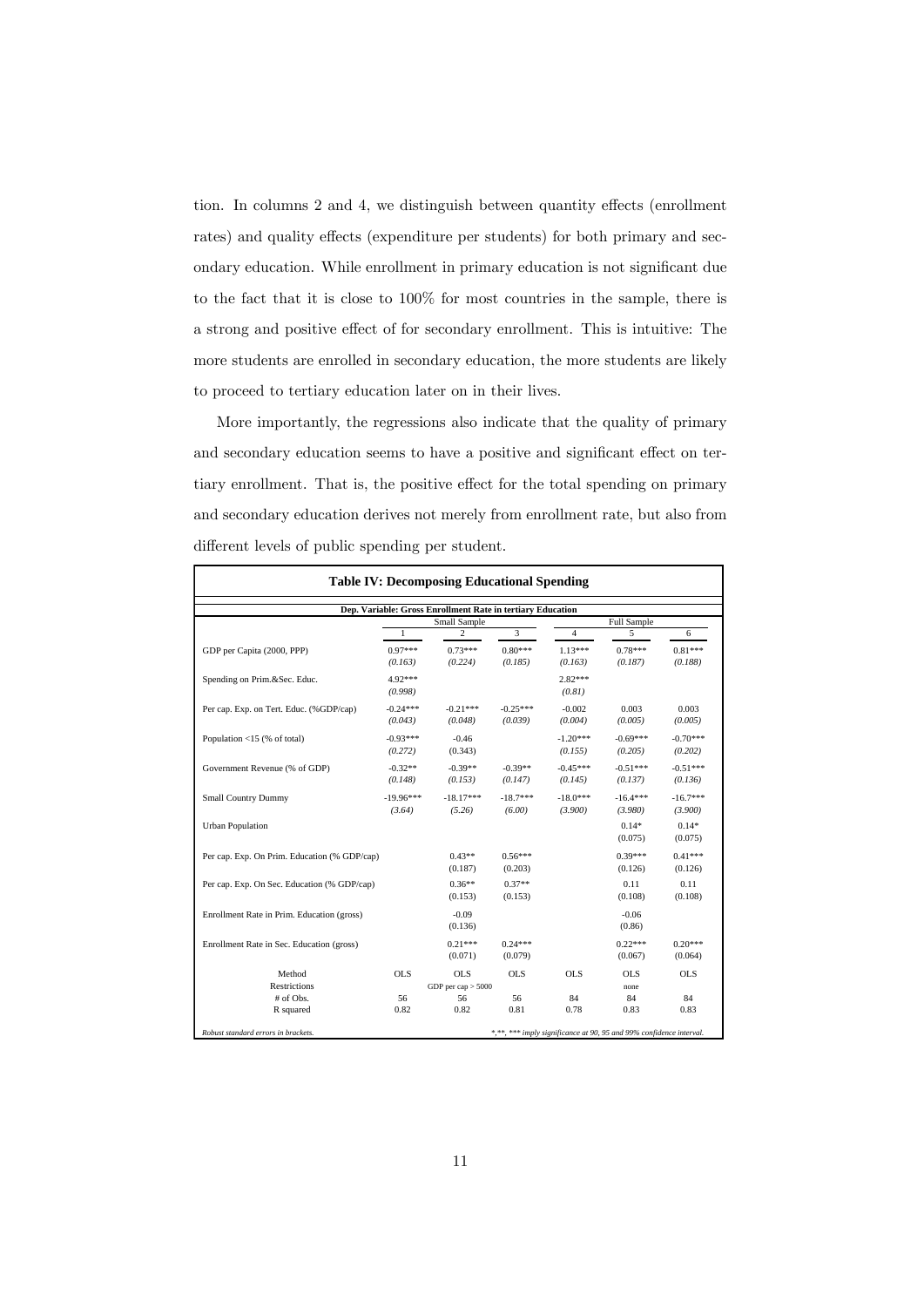tion. In columns  $2$  and  $4$ , we distinguish between quantity effects (enrollment rates) and quality effects (expenditure per students) for both primary and secondary education. While enrollment in primary education is not significant due to the fact that it is close to 100% for most countries in the sample, there is a strong and positive effect of for secondary enrollment. This is intuitive: The more students are enrolled in secondary education, the more students are likely to proceed to tertiary education later on in their lives.

More importantly, the regressions also indicate that the quality of primary and secondary education seems to have a positive and significant effect on tertiary enrollment. That is, the positive effect for the total spending on primary and secondary education derives not merely from enrollment rate, but also from different levels of public spending per student.

| <b>Table IV: Decomposing Educational Spending</b><br>Dep. Variable: Gross Enrollment Rate in tertiary Education<br>Small Sample |                                                                             |  |  |  |  |  |  |
|---------------------------------------------------------------------------------------------------------------------------------|-----------------------------------------------------------------------------|--|--|--|--|--|--|
|                                                                                                                                 |                                                                             |  |  |  |  |  |  |
| $1.13***$<br>$0.78***$<br>(0.163)<br>(0.187)                                                                                    | 6<br>$0.81***$<br>(0.188)                                                   |  |  |  |  |  |  |
| $2.82***$<br>(0.81)                                                                                                             |                                                                             |  |  |  |  |  |  |
| 0.003<br>$-0.002$<br>(0.004)<br>(0.005)                                                                                         | 0.003<br>(0.005)                                                            |  |  |  |  |  |  |
| $-1.20***$<br>$-0.69***$<br>(0.155)<br>(0.205)                                                                                  | $-0.70***$<br>(0.202)                                                       |  |  |  |  |  |  |
| $-0.45***$<br>$-0.51***$<br>(0.145)<br>(0.137)                                                                                  | $-0.51***$<br>(0.136)                                                       |  |  |  |  |  |  |
| $-18.0***$<br>$-16.4***$<br>(3.900)<br>(3.980)                                                                                  | $-16.7***$<br>(3.900)                                                       |  |  |  |  |  |  |
| $0.14*$<br>(0.075)                                                                                                              | $0.14*$<br>(0.075)                                                          |  |  |  |  |  |  |
| $0.39***$<br>(0.126)                                                                                                            | $0.41***$<br>(0.126)                                                        |  |  |  |  |  |  |
| 0.11<br>(0.108)                                                                                                                 | 0.11<br>(0.108)                                                             |  |  |  |  |  |  |
| $-0.06$<br>(0.86)                                                                                                               |                                                                             |  |  |  |  |  |  |
| $0.22***$<br>(0.067)                                                                                                            | $0.20***$<br>(0.064)                                                        |  |  |  |  |  |  |
| <b>OLS</b><br><b>OLS</b>                                                                                                        | <b>OLS</b>                                                                  |  |  |  |  |  |  |
| none                                                                                                                            |                                                                             |  |  |  |  |  |  |
| 84<br>84                                                                                                                        | 84<br>0.83                                                                  |  |  |  |  |  |  |
| 0.78                                                                                                                            | 0.83<br>*,**, *** imply significance at 90, 95 and 99% confidence interval. |  |  |  |  |  |  |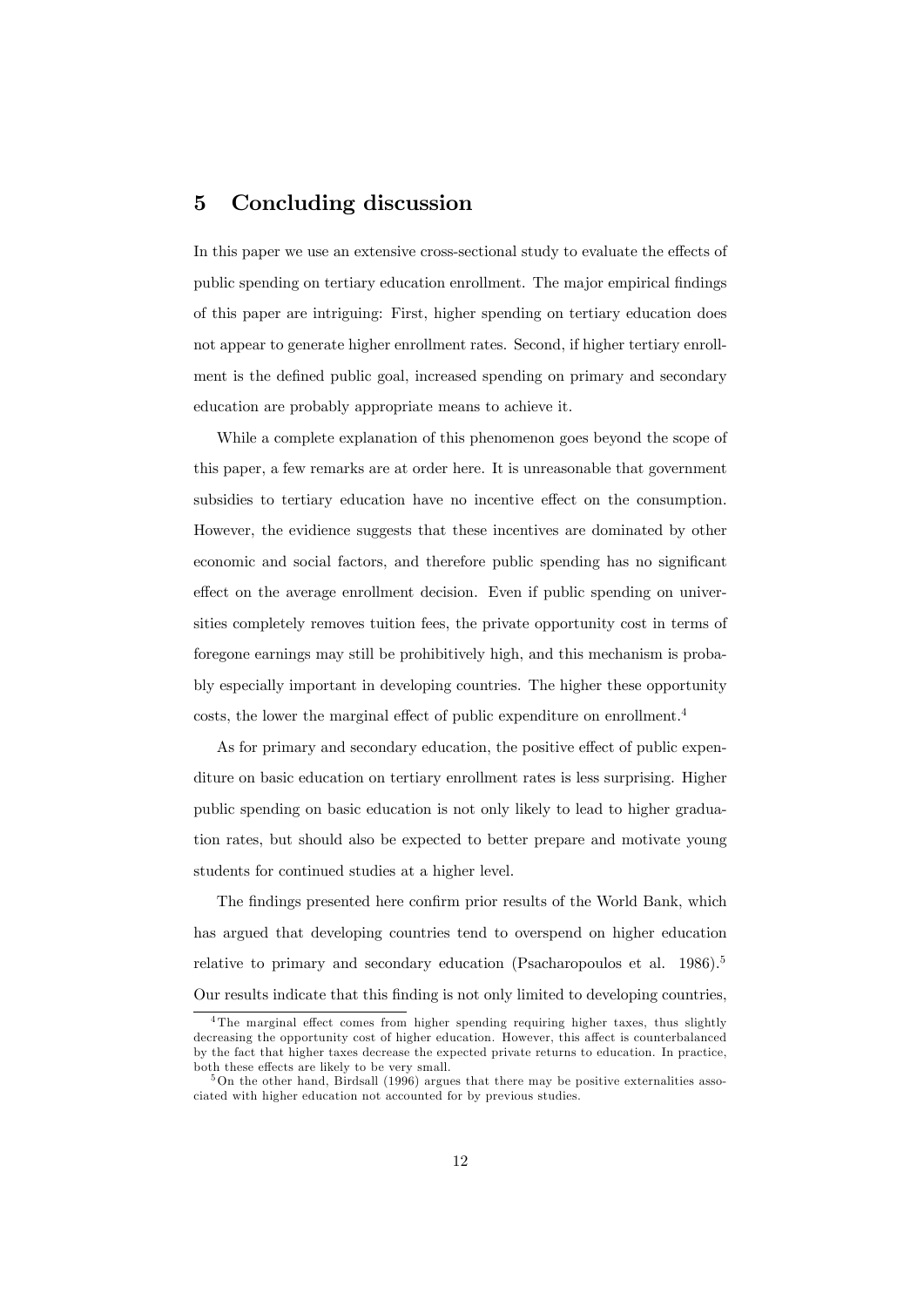## 5 Concluding discussion

In this paper we use an extensive cross-sectional study to evaluate the effects of public spending on tertiary education enrollment. The major empirical findings of this paper are intriguing: First, higher spending on tertiary education does not appear to generate higher enrollment rates. Second, if higher tertiary enrollment is the defined public goal, increased spending on primary and secondary education are probably appropriate means to achieve it.

While a complete explanation of this phenomenon goes beyond the scope of this paper, a few remarks are at order here. It is unreasonable that government subsidies to tertiary education have no incentive effect on the consumption. However, the evidience suggests that these incentives are dominated by other economic and social factors, and therefore public spending has no significant effect on the average enrollment decision. Even if public spending on universities completely removes tuition fees, the private opportunity cost in terms of foregone earnings may still be prohibitively high, and this mechanism is probably especially important in developing countries. The higher these opportunity costs, the lower the marginal effect of public expenditure on enrollment.<sup>4</sup>

As for primary and secondary education, the positive effect of public expenditure on basic education on tertiary enrollment rates is less surprising. Higher public spending on basic education is not only likely to lead to higher graduation rates, but should also be expected to better prepare and motivate young students for continued studies at a higher level.

The findings presented here confirm prior results of the World Bank, which has argued that developing countries tend to overspend on higher education relative to primary and secondary education (Psacharopoulos et al. 1986).<sup>5</sup> Our results indicate that this finding is not only limited to developing countries,

 $4$ The marginal effect comes from higher spending requiring higher taxes, thus slightly decreasing the opportunity cost of higher education. However, this affect is counterbalanced by the fact that higher taxes decrease the expected private returns to education. In practice, both these effects are likely to be very small.

 $5$ On the other hand, Birdsall (1996) argues that there may be positive externalities associated with higher education not accounted for by previous studies.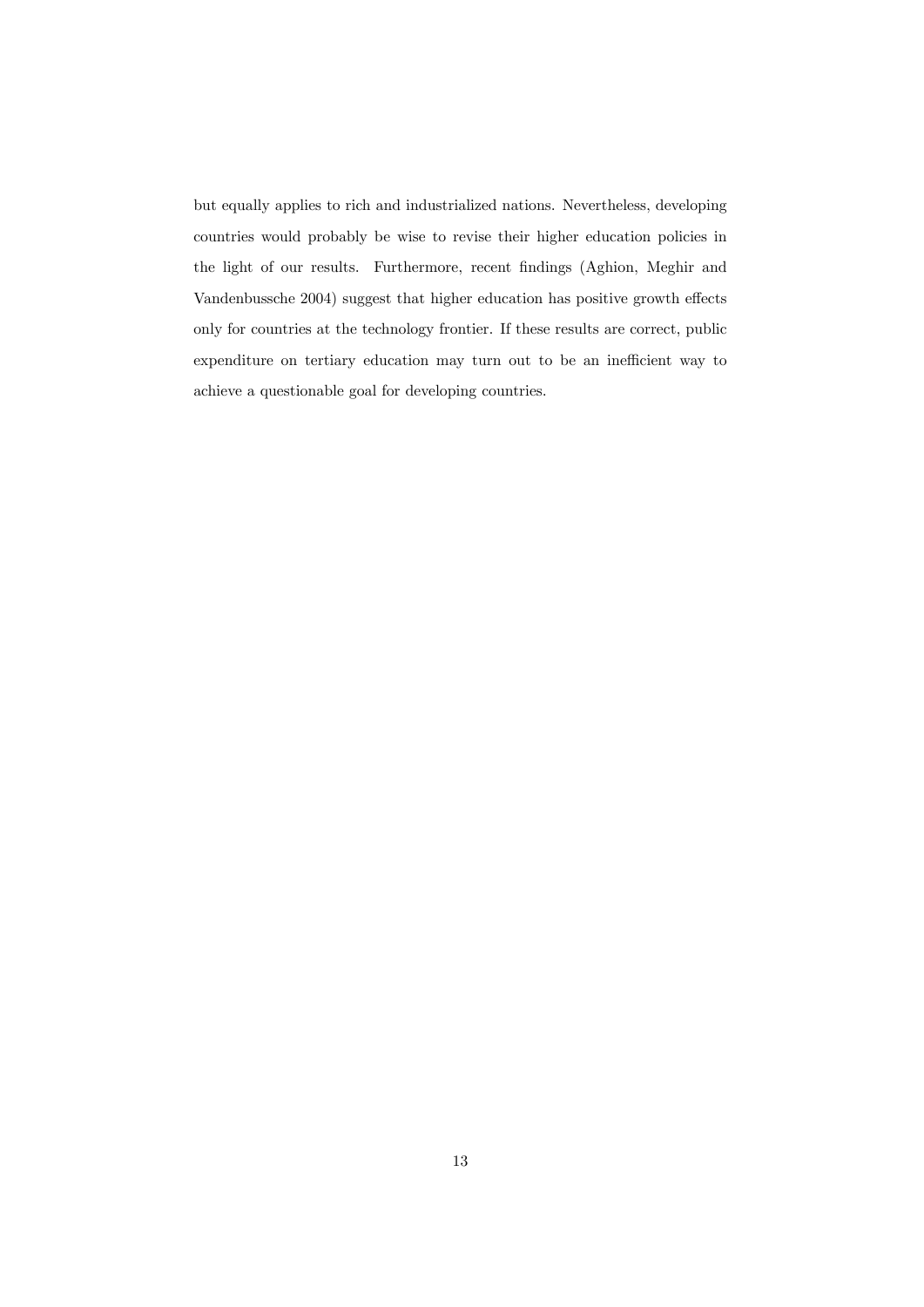but equally applies to rich and industrialized nations. Nevertheless, developing countries would probably be wise to revise their higher education policies in the light of our results. Furthermore, recent findings (Aghion, Meghir and Vandenbussche 2004) suggest that higher education has positive growth effects only for countries at the technology frontier. If these results are correct, public expenditure on tertiary education may turn out to be an inefficient way to achieve a questionable goal for developing countries.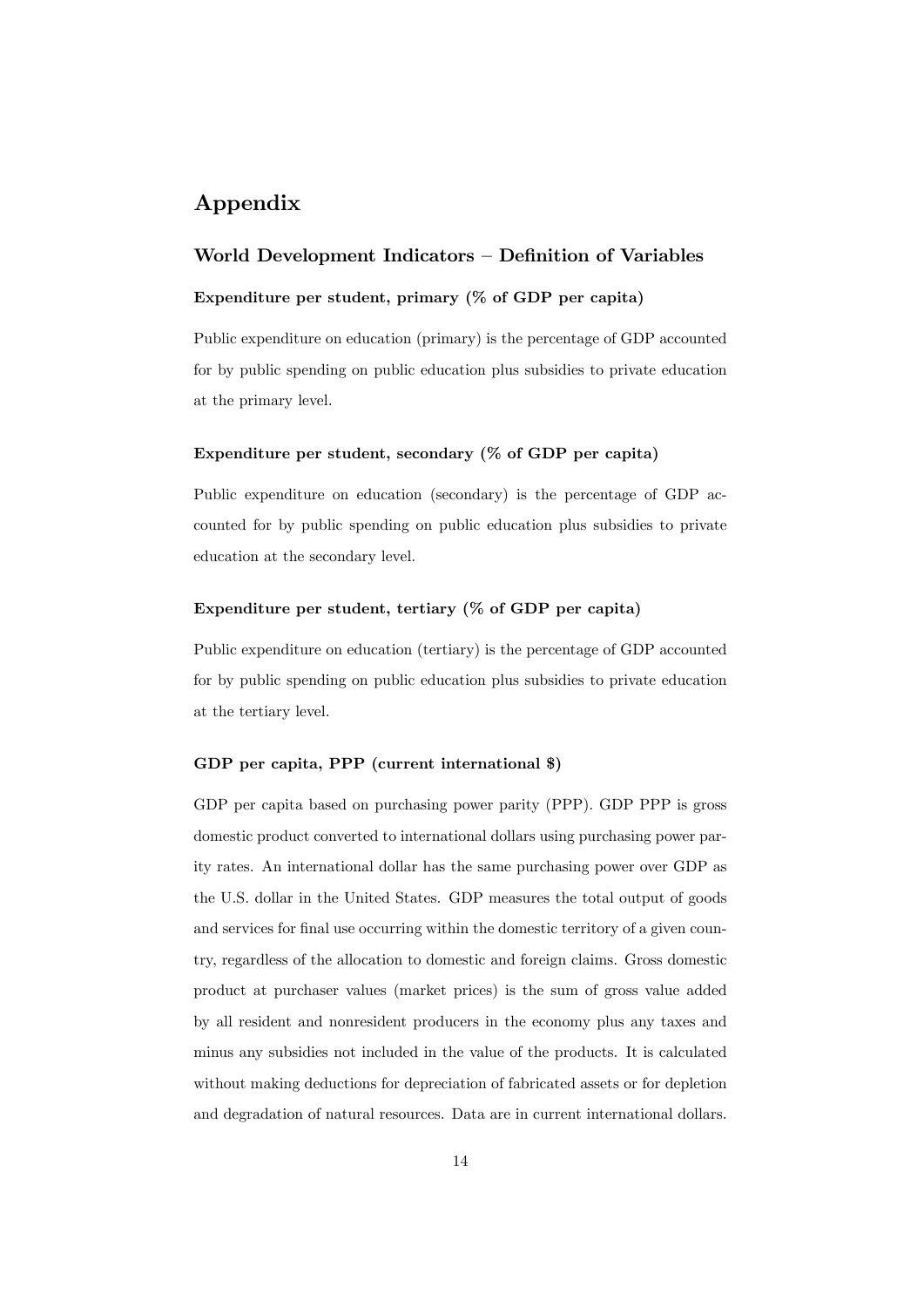## Appendix

#### World Development Indicators – Definition of Variables

#### Expenditure per student, primary (% of GDP per capita)

Public expenditure on education (primary) is the percentage of GDP accounted for by public spending on public education plus subsidies to private education at the primary level.

#### Expenditure per student, secondary  $(\%$  of GDP per capita)

Public expenditure on education (secondary) is the percentage of GDP accounted for by public spending on public education plus subsidies to private education at the secondary level.

#### Expenditure per student, tertiary (% of GDP per capita)

Public expenditure on education (tertiary) is the percentage of GDP accounted for by public spending on public education plus subsidies to private education at the tertiary level.

#### GDP per capita, PPP (current international \$)

GDP per capita based on purchasing power parity (PPP). GDP PPP is gross domestic product converted to international dollars using purchasing power parity rates. An international dollar has the same purchasing power over GDP as the U.S. dollar in the United States. GDP measures the total output of goods and services for final use occurring within the domestic territory of a given country, regardless of the allocation to domestic and foreign claims. Gross domestic product at purchaser values (market prices) is the sum of gross value added by all resident and nonresident producers in the economy plus any taxes and minus any subsidies not included in the value of the products. It is calculated without making deductions for depreciation of fabricated assets or for depletion and degradation of natural resources. Data are in current international dollars.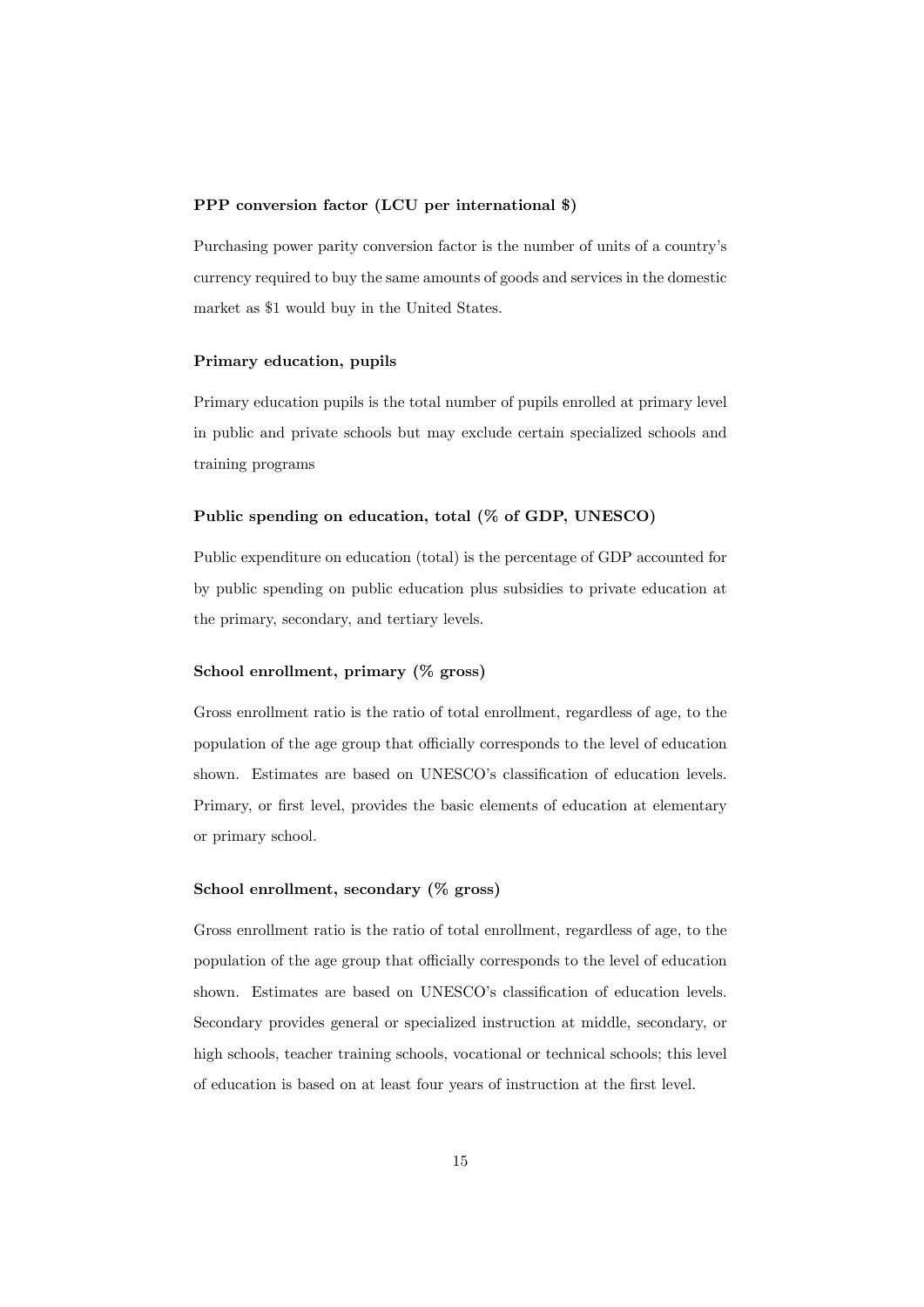#### PPP conversion factor (LCU per international \$)

Purchasing power parity conversion factor is the number of units of a country's currency required to buy the same amounts of goods and services in the domestic market as \$1 would buy in the United States.

#### Primary education, pupils

Primary education pupils is the total number of pupils enrolled at primary level in public and private schools but may exclude certain specialized schools and training programs

#### Public spending on education, total (% of GDP, UNESCO)

Public expenditure on education (total) is the percentage of GDP accounted for by public spending on public education plus subsidies to private education at the primary, secondary, and tertiary levels.

#### School enrollment, primary (% gross)

Gross enrollment ratio is the ratio of total enrollment, regardless of age, to the population of the age group that officially corresponds to the level of education shown. Estimates are based on UNESCO's classification of education levels. Primary, or first level, provides the basic elements of education at elementary or primary school.

#### School enrollment, secondary (% gross)

Gross enrollment ratio is the ratio of total enrollment, regardless of age, to the population of the age group that officially corresponds to the level of education shown. Estimates are based on UNESCO's classification of education levels. Secondary provides general or specialized instruction at middle, secondary, or high schools, teacher training schools, vocational or technical schools; this level of education is based on at least four years of instruction at the first level.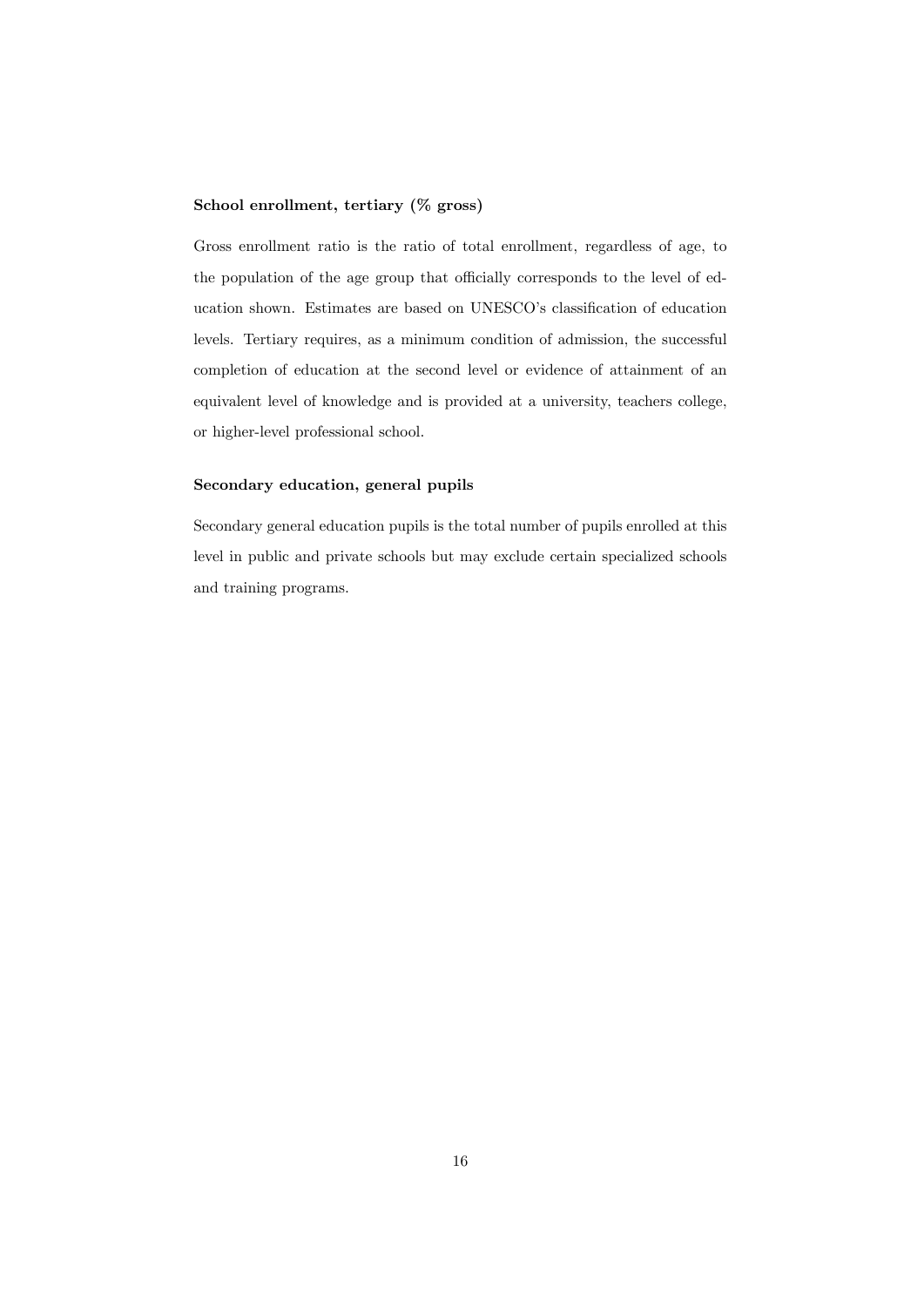#### School enrollment, tertiary (% gross)

Gross enrollment ratio is the ratio of total enrollment, regardless of age, to the population of the age group that officially corresponds to the level of education shown. Estimates are based on UNESCO's classification of education levels. Tertiary requires, as a minimum condition of admission, the successful completion of education at the second level or evidence of attainment of an equivalent level of knowledge and is provided at a university, teachers college, or higher-level professional school.

#### Secondary education, general pupils

Secondary general education pupils is the total number of pupils enrolled at this level in public and private schools but may exclude certain specialized schools and training programs.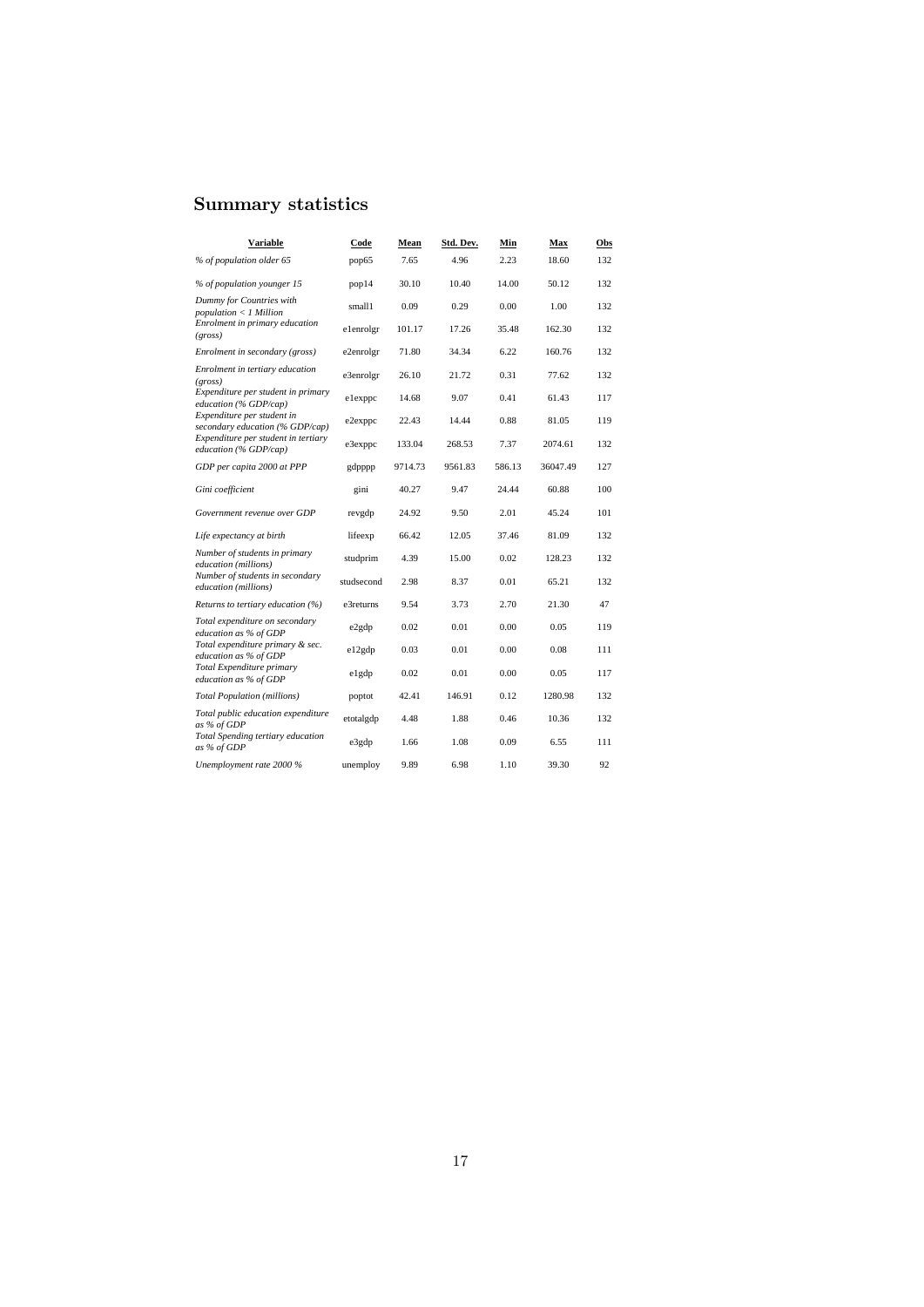## Summary statistics

| Variable                                                                                          | Code                | Mean           | Std. Dev.     | Min           | Max            | Obs        |
|---------------------------------------------------------------------------------------------------|---------------------|----------------|---------------|---------------|----------------|------------|
| % of population older 65                                                                          | pop65               | 7.65           | 4.96          | 2.23          | 18.60          | 132        |
| % of population younger 15                                                                        | pop14               | 30.10          | 10.40         | 14.00         | 50.12          | 132        |
| Dummy for Countries with<br>$population < I$ Million<br>Enrolment in primary education<br>(gross) | small1<br>elenrolgr | 0.09<br>101.17 | 0.29<br>17.26 | 0.00<br>35.48 | 1.00<br>162.30 | 132<br>132 |
| Enrolment in secondary (gross)                                                                    | e2enrolgr           | 71.80          | 34.34         | 6.22          | 160.76         | 132        |
| Enrolment in tertiary education<br>(gross)                                                        | e3enrolgr           | 26.10          | 21.72         | 0.31          | 77.62          | 132        |
| Expenditure per student in primary<br>education (% GDP/cap)                                       | elexppc             | 14.68          | 9.07          | 0.41          | 61.43          | 117        |
| Expenditure per student in<br>secondary education (% GDP/cap)                                     | e2exppc             | 22.43          | 14.44         | 0.88          | 81.05          | 119        |
| Expenditure per student in tertiary<br>education (% GDP/cap)                                      | e3exppc             | 133.04         | 268.53        | 7.37          | 2074.61        | 132        |
| GDP per capita 2000 at PPP                                                                        | gdpppp              | 9714.73        | 9561.83       | 586.13        | 36047.49       | 127        |
| Gini coefficient                                                                                  | gini                | 40.27          | 9.47          | 24.44         | 60.88          | 100        |
| Government revenue over GDP                                                                       | revgdp              | 24.92          | 9.50          | 2.01          | 45.24          | 101        |
| Life expectancy at birth                                                                          | lifeexp             | 66.42          | 12.05         | 37.46         | 81.09          | 132        |
| Number of students in primary<br>education (millions)                                             | studprim            | 4.39           | 15.00         | 0.02          | 128.23         | 132        |
| Number of students in secondary<br>education (millions)                                           | studsecond          | 2.98           | 8.37          | 0.01          | 65.21          | 132        |
| Returns to tertiary education (%)                                                                 | e3returns           | 9.54           | 3.73          | 2.70          | 21.30          | 47         |
| Total expenditure on secondary<br>education as % of GDP                                           | e2gdp               | 0.02           | 0.01          | 0.00          | 0.05           | 119        |
| Total expenditure primary & sec.<br>education as % of GDP                                         | e12gdp              | 0.03           | 0.01          | 0.00          | 0.08           | 111        |
| Total Expenditure primary<br>education as % of GDP                                                | elgdp               | 0.02           | 0.01          | 0.00          | 0.05           | 117        |
| <b>Total Population (millions)</b>                                                                | poptot              | 42.41          | 146.91        | 0.12          | 1280.98        | 132        |
| Total public education expenditure<br>as % of GDP                                                 | etotalgdp           | 4.48           | 1.88          | 0.46          | 10.36          | 132        |
| Total Spending tertiary education<br>as % of GDP                                                  | e3gdp               | 1.66           | 1.08          | 0.09          | 6.55           | 111        |
| Unemployment rate 2000 %                                                                          | unemploy            | 9.89           | 6.98          | 1.10          | 39.30          | 92         |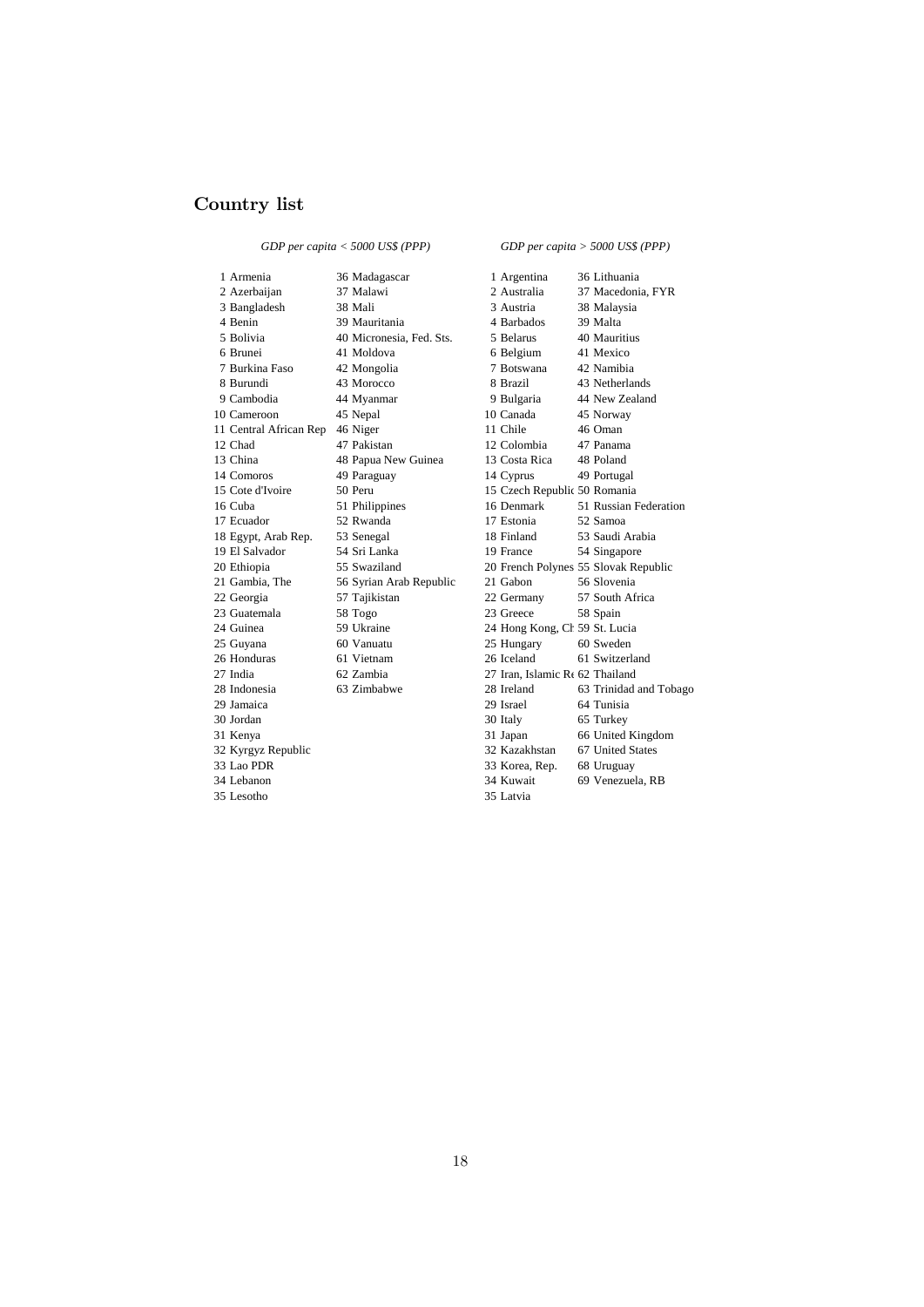#### Country list

*GDP per capita < 5000 US\$ (PPP)*

*GDP per capita > 5000 US\$ (PPP)*

1 Armenia 1 26 Madagascar 1 Argentina 36 Lithuania 3 Bangladesh 38 Mali 3 Austria 4 Benin 39 Mauritania 4 Barbados 39 Malta 5 Bolivia 40 Micronesia, Fed. Sts. 5 Belarus 40 Mauritius 6 Brunei 41 Moldova 6 Belgium 41 Mexico 7 Burkina Faso 42 Mongolia 7 Botswana 42 Namibia 8 Burundi 43 Morocco 8 Brazil 43 Netherlands<br>9 Cambodia 44 Myanmar 9 Bulgaria 44 New Zealand 10 Cameroon 45 Nepal 10 Canada 45 Norway 11 Central African Rep 46 Niger 11 Chile 46 Oman 12 Chad 47 Pakistan 12 Colombia 47 Panama 13 China 48 Papua New Guinea 13 Costa Rica 48 Poland 14 Comoros 49 Paraguay 14 Cyprus 49 Portugal<br>15 Cote d'Ivoire 50 Peru 15 Czech Republic 50 Romania 15 Cote d'Ivoire 50 Peru 15 Czech Republic 50 Romania<br>16 Cuba 51 Philippines 16 Denmark 51 Russian F 18 Egypt, Arab Rep. 53 Senegal 18 Finland 19 El Salvador 54 Sri Lanka 19 France 19 El Salvador 54 Sri Lanka 19 France 54 Singapore 21 Gambia, The 56 Syrian Arab Republic 21 Gabon 56 Slovenia 22 Georgia 57 Tajikistan 22 Germany 57 South Africa 23 Guatemala 58 Togo 23 Greece 58 Spain<br>24 Guinea 59 Ukraine 24 Hong Kong, Ct 59 St. Lu 24 Guinea 59 Ukraine 24 Hong Kong, China 25 Guyana 60 Vanuatu 25 Hungary 60 Sweden 25 Guyana 60 Vanuatu 25 Hungary 60 Sweden<br>26 Honduras 61 Vietnam 26 Iceland 61 Switzerl 27 India 62 Zambia 27 Iran, Islamic Rep. 62 Thailand 29 Jamaica 29 Israel 64 Tunisia 30 Jordan 30 Italy 65 Turkey 33 Lao PDR 33 Korea, Rep. 68 Uruguay 35 Lesotho 35 Latvia

2 Azerbaijan 37 Malawi 2 Australia 37 Macedonia, FYR<br>3 Baneladesh 38 Mali 3 Austria 38 Malaysia 44 Myanmar 9 Bulgaria 44 New Zealand 16 Denmark 51 Russian Federation<br>17 Estonia 52 Samoa 17 Ecuador 52 Rwanda 18 Egypt, Arab Rep. 53 Senegal 18 Finland 53 Saudi Arabia 20 Ethiopia 55 Swaziland 20 French Polynes 55 Slovak Republic 61 Vietnam 26 Iceland 62 Australiand 62 Zambia 27 Iran, Islamic Re 62 Thailand 28 Indonesia 63 Zimbabwe 28 Ireland 63 Trinidad and Tobago 31 Kenya 31 Kenya 31 Kenya 31 Kenya 32 Kenya 32 Kenya 53 Kenya 53 Kenya 53 Kenya 53 Kenya 54 Kenya 54 Kenya 54 Kenya 54 Kenya 54 Kenya 54 Kenya 54 Kenya 54 Kenya 54 Kenya 54 Kenya 54 Kenya 54 Kenya 54 Kenya 54 Kenya 54 Ken 32 Kyrgyz Republic 32 Kazakhstan 67 United States 34 Lebanon 34 Kuwait 69 Venezuela, RB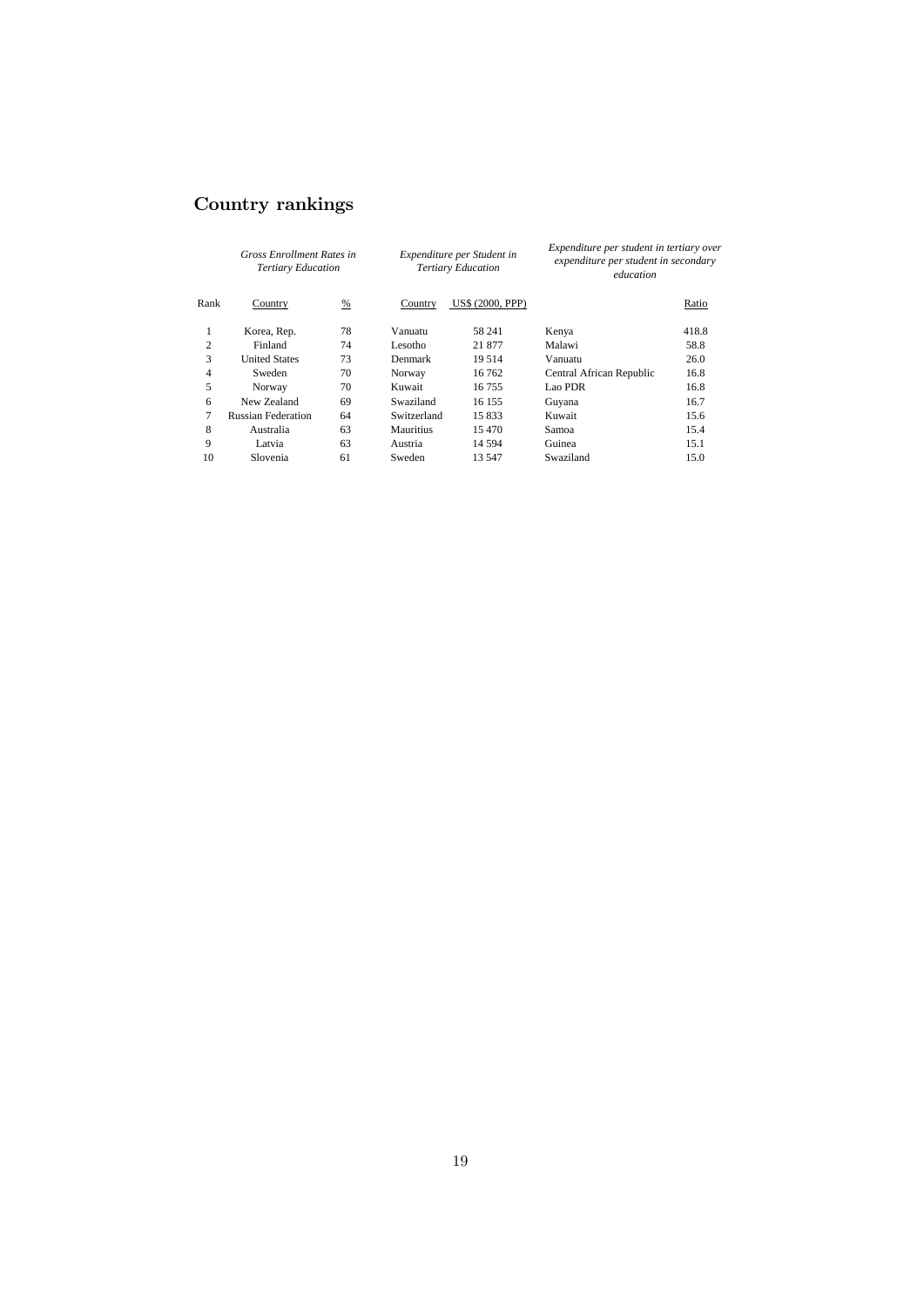## Country rankings

| <b>Gross Enrollment Rates in</b><br><b>Tertiary Education</b> |                           |               |                  | Expenditure per Student in<br><b>Tertiary Education</b> | Expenditure per student in tertiary over<br>expenditure per student in secondary<br>education |       |  |
|---------------------------------------------------------------|---------------------------|---------------|------------------|---------------------------------------------------------|-----------------------------------------------------------------------------------------------|-------|--|
| Rank                                                          | Country                   | $\frac{9}{6}$ | Country          | <b>US\$ (2000, PPP)</b>                                 |                                                                                               | Ratio |  |
| 1                                                             | Korea, Rep.               | 78            | Vanuatu          | 58 241                                                  | Kenya                                                                                         | 418.8 |  |
| $\overline{c}$                                                | Finland                   | 74            | Lesotho          | 21 877                                                  | Malawi                                                                                        | 58.8  |  |
| 3                                                             | <b>United States</b>      | 73            | Denmark          | 19.514                                                  | Vanuatu                                                                                       | 26.0  |  |
| 4                                                             | Sweden                    | 70            | Norway           | 16 762                                                  | Central African Republic                                                                      | 16.8  |  |
| 5                                                             | Norway                    | 70            | Kuwait           | 16755                                                   | Lao PDR                                                                                       | 16.8  |  |
| 6                                                             | New Zealand               | 69            | Swaziland        | 16 155                                                  | Guyana                                                                                        | 16.7  |  |
| 7                                                             | <b>Russian Federation</b> | 64            | Switzerland      | 15 833                                                  | Kuwait                                                                                        | 15.6  |  |
| 8                                                             | Australia                 | 63            | <b>Mauritius</b> | 15470                                                   | Samoa                                                                                         | 15.4  |  |
| 9                                                             | Latvia                    | 63            | Austria          | 14 5 94                                                 | Guinea                                                                                        | 15.1  |  |
| 10                                                            | Slovenia                  | 61            | Sweden           | 13 547                                                  | Swaziland                                                                                     | 15.0  |  |